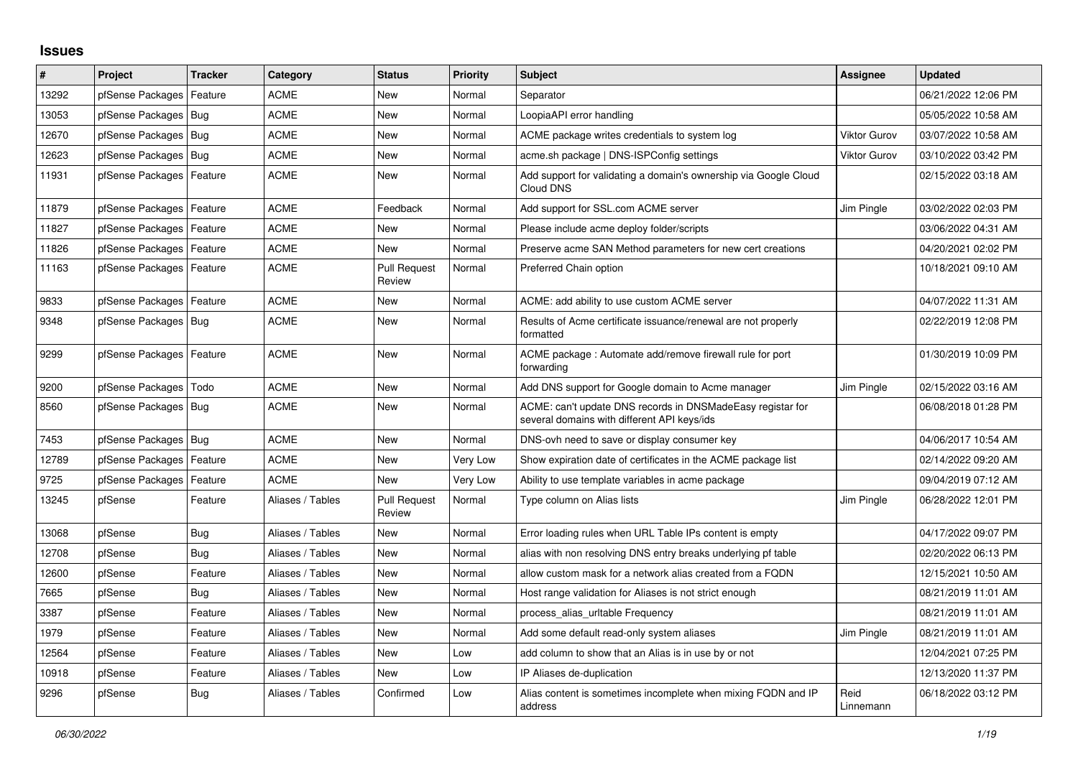## **Issues**

| #     | Project                    | <b>Tracker</b> | Category         | <b>Status</b>                 | <b>Priority</b> | <b>Subject</b>                                                                                            | <b>Assignee</b>     | <b>Updated</b>      |
|-------|----------------------------|----------------|------------------|-------------------------------|-----------------|-----------------------------------------------------------------------------------------------------------|---------------------|---------------------|
| 13292 | pfSense Packages           | Feature        | <b>ACME</b>      | New                           | Normal          | Separator                                                                                                 |                     | 06/21/2022 12:06 PM |
| 13053 | pfSense Packages   Bug     |                | <b>ACME</b>      | New                           | Normal          | LoopiaAPI error handling                                                                                  |                     | 05/05/2022 10:58 AM |
| 12670 | pfSense Packages   Bug     |                | <b>ACME</b>      | New                           | Normal          | ACME package writes credentials to system log                                                             | <b>Viktor Gurov</b> | 03/07/2022 10:58 AM |
| 12623 | pfSense Packages   Bug     |                | <b>ACME</b>      | New                           | Normal          | acme.sh package   DNS-ISPConfig settings                                                                  | <b>Viktor Gurov</b> | 03/10/2022 03:42 PM |
| 11931 | pfSense Packages   Feature |                | <b>ACME</b>      | <b>New</b>                    | Normal          | Add support for validating a domain's ownership via Google Cloud<br>Cloud DNS                             |                     | 02/15/2022 03:18 AM |
| 11879 | pfSense Packages   Feature |                | <b>ACME</b>      | Feedback                      | Normal          | Add support for SSL.com ACME server                                                                       | Jim Pingle          | 03/02/2022 02:03 PM |
| 11827 | pfSense Packages   Feature |                | <b>ACME</b>      | <b>New</b>                    | Normal          | Please include acme deploy folder/scripts                                                                 |                     | 03/06/2022 04:31 AM |
| 11826 | pfSense Packages   Feature |                | <b>ACME</b>      | <b>New</b>                    | Normal          | Preserve acme SAN Method parameters for new cert creations                                                |                     | 04/20/2021 02:02 PM |
| 11163 | pfSense Packages   Feature |                | <b>ACME</b>      | <b>Pull Request</b><br>Review | Normal          | Preferred Chain option                                                                                    |                     | 10/18/2021 09:10 AM |
| 9833  | pfSense Packages   Feature |                | <b>ACME</b>      | <b>New</b>                    | Normal          | ACME: add ability to use custom ACME server                                                               |                     | 04/07/2022 11:31 AM |
| 9348  | pfSense Packages   Bug     |                | <b>ACME</b>      | New                           | Normal          | Results of Acme certificate issuance/renewal are not properly<br>formatted                                |                     | 02/22/2019 12:08 PM |
| 9299  | pfSense Packages   Feature |                | <b>ACME</b>      | New                           | Normal          | ACME package : Automate add/remove firewall rule for port<br>forwarding                                   |                     | 01/30/2019 10:09 PM |
| 9200  | pfSense Packages           | Todo           | <b>ACME</b>      | New                           | Normal          | Add DNS support for Google domain to Acme manager                                                         | Jim Pingle          | 02/15/2022 03:16 AM |
| 8560  | pfSense Packages   Bug     |                | <b>ACME</b>      | New                           | Normal          | ACME: can't update DNS records in DNSMadeEasy registar for<br>several domains with different API keys/ids |                     | 06/08/2018 01:28 PM |
| 7453  | pfSense Packages   Bug     |                | <b>ACME</b>      | New                           | Normal          | DNS-ovh need to save or display consumer key                                                              |                     | 04/06/2017 10:54 AM |
| 12789 | pfSense Packages           | Feature        | <b>ACME</b>      | New                           | Very Low        | Show expiration date of certificates in the ACME package list                                             |                     | 02/14/2022 09:20 AM |
| 9725  | pfSense Packages           | Feature        | <b>ACME</b>      | New                           | Very Low        | Ability to use template variables in acme package                                                         |                     | 09/04/2019 07:12 AM |
| 13245 | pfSense                    | Feature        | Aliases / Tables | <b>Pull Request</b><br>Review | Normal          | Type column on Alias lists                                                                                | Jim Pingle          | 06/28/2022 12:01 PM |
| 13068 | pfSense                    | Bug            | Aliases / Tables | <b>New</b>                    | Normal          | Error loading rules when URL Table IPs content is empty                                                   |                     | 04/17/2022 09:07 PM |
| 12708 | pfSense                    | Bug            | Aliases / Tables | New                           | Normal          | alias with non resolving DNS entry breaks underlying pf table                                             |                     | 02/20/2022 06:13 PM |
| 12600 | pfSense                    | Feature        | Aliases / Tables | <b>New</b>                    | Normal          | allow custom mask for a network alias created from a FQDN                                                 |                     | 12/15/2021 10:50 AM |
| 7665  | pfSense                    | Bug            | Aliases / Tables | <b>New</b>                    | Normal          | Host range validation for Aliases is not strict enough                                                    |                     | 08/21/2019 11:01 AM |
| 3387  | pfSense                    | Feature        | Aliases / Tables | New                           | Normal          | process_alias_urItable Frequency                                                                          |                     | 08/21/2019 11:01 AM |
| 1979  | pfSense                    | Feature        | Aliases / Tables | <b>New</b>                    | Normal          | Add some default read-only system aliases                                                                 | Jim Pingle          | 08/21/2019 11:01 AM |
| 12564 | pfSense                    | Feature        | Aliases / Tables | New                           | Low             | add column to show that an Alias is in use by or not                                                      |                     | 12/04/2021 07:25 PM |
| 10918 | pfSense                    | Feature        | Aliases / Tables | <b>New</b>                    | Low             | IP Aliases de-duplication                                                                                 |                     | 12/13/2020 11:37 PM |
| 9296  | pfSense                    | Bug            | Aliases / Tables | Confirmed                     | Low             | Alias content is sometimes incomplete when mixing FQDN and IP<br>address                                  | Reid<br>Linnemann   | 06/18/2022 03:12 PM |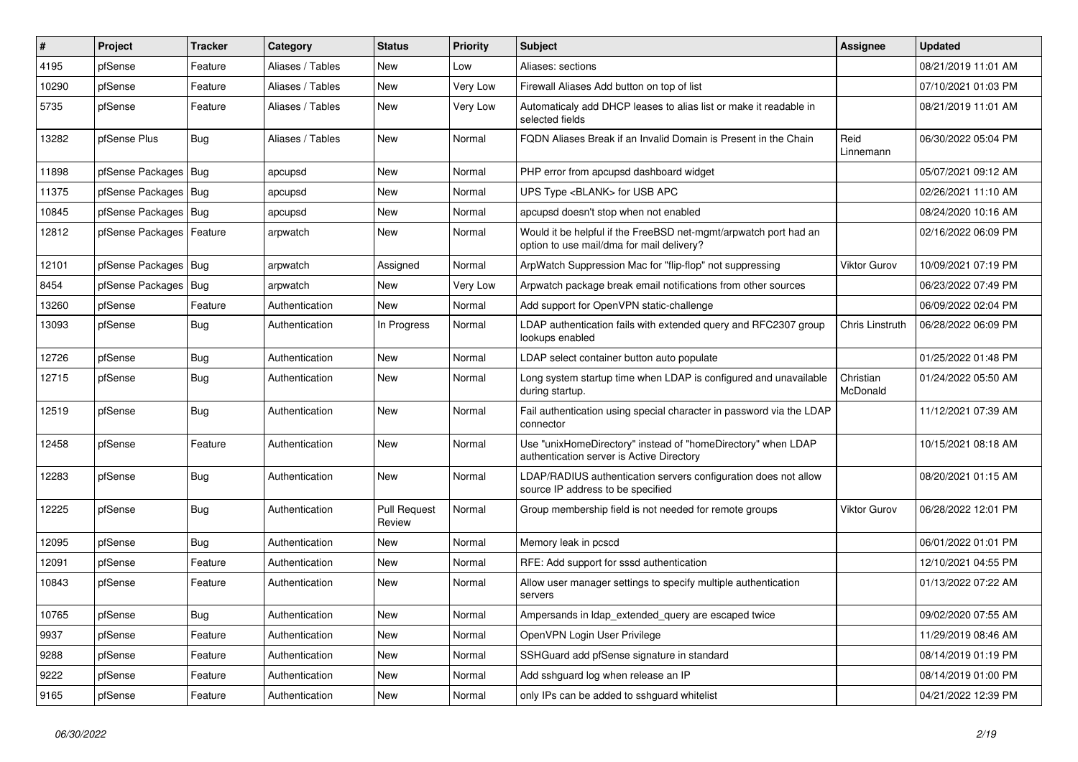| $\vert$ # | <b>Project</b>         | <b>Tracker</b> | Category         | <b>Status</b>                 | <b>Priority</b> | <b>Subject</b>                                                                                                | <b>Assignee</b>       | <b>Updated</b>      |
|-----------|------------------------|----------------|------------------|-------------------------------|-----------------|---------------------------------------------------------------------------------------------------------------|-----------------------|---------------------|
| 4195      | pfSense                | Feature        | Aliases / Tables | New                           | Low             | Aliases: sections                                                                                             |                       | 08/21/2019 11:01 AM |
| 10290     | pfSense                | Feature        | Aliases / Tables | New                           | Very Low        | Firewall Aliases Add button on top of list                                                                    |                       | 07/10/2021 01:03 PM |
| 5735      | pfSense                | Feature        | Aliases / Tables | New                           | Very Low        | Automaticaly add DHCP leases to alias list or make it readable in<br>selected fields                          |                       | 08/21/2019 11:01 AM |
| 13282     | pfSense Plus           | Bug            | Aliases / Tables | New                           | Normal          | FQDN Aliases Break if an Invalid Domain is Present in the Chain                                               | Reid<br>Linnemann     | 06/30/2022 05:04 PM |
| 11898     | pfSense Packages       | Bug            | apcupsd          | New                           | Normal          | PHP error from apcupsd dashboard widget                                                                       |                       | 05/07/2021 09:12 AM |
| 11375     | pfSense Packages       | Bug            | apcupsd          | <b>New</b>                    | Normal          | UPS Type <blank> for USB APC</blank>                                                                          |                       | 02/26/2021 11:10 AM |
| 10845     | pfSense Packages   Bug |                | apcupsd          | <b>New</b>                    | Normal          | apcupsd doesn't stop when not enabled                                                                         |                       | 08/24/2020 10:16 AM |
| 12812     | pfSense Packages       | Feature        | arpwatch         | <b>New</b>                    | Normal          | Would it be helpful if the FreeBSD net-mgmt/arpwatch port had an<br>option to use mail/dma for mail delivery? |                       | 02/16/2022 06:09 PM |
| 12101     | pfSense Packages       | Bug            | arpwatch         | Assigned                      | Normal          | ArpWatch Suppression Mac for "flip-flop" not suppressing                                                      | Viktor Gurov          | 10/09/2021 07:19 PM |
| 8454      | pfSense Packages       | Bug            | arpwatch         | New                           | Very Low        | Arpwatch package break email notifications from other sources                                                 |                       | 06/23/2022 07:49 PM |
| 13260     | pfSense                | Feature        | Authentication   | New                           | Normal          | Add support for OpenVPN static-challenge                                                                      |                       | 06/09/2022 02:04 PM |
| 13093     | pfSense                | Bug            | Authentication   | In Progress                   | Normal          | LDAP authentication fails with extended query and RFC2307 group<br>lookups enabled                            | Chris Linstruth       | 06/28/2022 06:09 PM |
| 12726     | pfSense                | <b>Bug</b>     | Authentication   | <b>New</b>                    | Normal          | LDAP select container button auto populate                                                                    |                       | 01/25/2022 01:48 PM |
| 12715     | pfSense                | Bug            | Authentication   | <b>New</b>                    | Normal          | Long system startup time when LDAP is configured and unavailable<br>during startup.                           | Christian<br>McDonald | 01/24/2022 05:50 AM |
| 12519     | pfSense                | <b>Bug</b>     | Authentication   | <b>New</b>                    | Normal          | Fail authentication using special character in password via the LDAP<br>connector                             |                       | 11/12/2021 07:39 AM |
| 12458     | pfSense                | Feature        | Authentication   | New                           | Normal          | Use "unixHomeDirectory" instead of "homeDirectory" when LDAP<br>authentication server is Active Directory     |                       | 10/15/2021 08:18 AM |
| 12283     | pfSense                | <b>Bug</b>     | Authentication   | <b>New</b>                    | Normal          | LDAP/RADIUS authentication servers configuration does not allow<br>source IP address to be specified          |                       | 08/20/2021 01:15 AM |
| 12225     | pfSense                | <b>Bug</b>     | Authentication   | <b>Pull Request</b><br>Review | Normal          | Group membership field is not needed for remote groups                                                        | <b>Viktor Gurov</b>   | 06/28/2022 12:01 PM |
| 12095     | pfSense                | <b>Bug</b>     | Authentication   | New                           | Normal          | Memory leak in pcscd                                                                                          |                       | 06/01/2022 01:01 PM |
| 12091     | pfSense                | Feature        | Authentication   | <b>New</b>                    | Normal          | RFE: Add support for sssd authentication                                                                      |                       | 12/10/2021 04:55 PM |
| 10843     | pfSense                | Feature        | Authentication   | <b>New</b>                    | Normal          | Allow user manager settings to specify multiple authentication<br>servers                                     |                       | 01/13/2022 07:22 AM |
| 10765     | pfSense                | Bug            | Authentication   | <b>New</b>                    | Normal          | Ampersands in Idap extended query are escaped twice                                                           |                       | 09/02/2020 07:55 AM |
| 9937      | pfSense                | Feature        | Authentication   | <b>New</b>                    | Normal          | OpenVPN Login User Privilege                                                                                  |                       | 11/29/2019 08:46 AM |
| 9288      | pfSense                | Feature        | Authentication   | New                           | Normal          | SSHGuard add pfSense signature in standard                                                                    |                       | 08/14/2019 01:19 PM |
| 9222      | pfSense                | Feature        | Authentication   | <b>New</b>                    | Normal          | Add sshguard log when release an IP                                                                           |                       | 08/14/2019 01:00 PM |
| 9165      | pfSense                | Feature        | Authentication   | New                           | Normal          | only IPs can be added to sshguard whitelist                                                                   |                       | 04/21/2022 12:39 PM |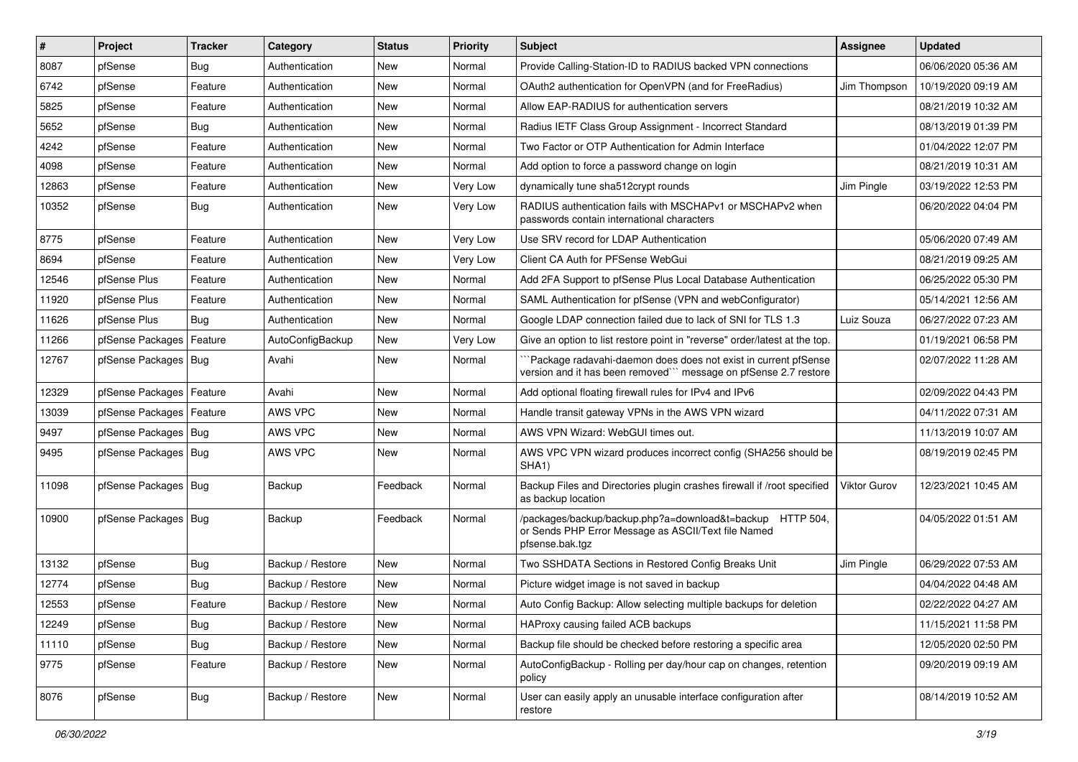| #     | Project                    | <b>Tracker</b> | Category         | <b>Status</b> | <b>Priority</b> | <b>Subject</b>                                                                                                                      | <b>Assignee</b>     | <b>Updated</b>      |
|-------|----------------------------|----------------|------------------|---------------|-----------------|-------------------------------------------------------------------------------------------------------------------------------------|---------------------|---------------------|
| 8087  | pfSense                    | <b>Bug</b>     | Authentication   | New           | Normal          | Provide Calling-Station-ID to RADIUS backed VPN connections                                                                         |                     | 06/06/2020 05:36 AM |
| 6742  | pfSense                    | Feature        | Authentication   | New           | Normal          | OAuth2 authentication for OpenVPN (and for FreeRadius)                                                                              | Jim Thompson        | 10/19/2020 09:19 AM |
| 5825  | pfSense                    | Feature        | Authentication   | New           | Normal          | Allow EAP-RADIUS for authentication servers                                                                                         |                     | 08/21/2019 10:32 AM |
| 5652  | pfSense                    | <b>Bug</b>     | Authentication   | <b>New</b>    | Normal          | Radius IETF Class Group Assignment - Incorrect Standard                                                                             |                     | 08/13/2019 01:39 PM |
| 4242  | pfSense                    | Feature        | Authentication   | New           | Normal          | Two Factor or OTP Authentication for Admin Interface                                                                                |                     | 01/04/2022 12:07 PM |
| 4098  | pfSense                    | Feature        | Authentication   | New           | Normal          | Add option to force a password change on login                                                                                      |                     | 08/21/2019 10:31 AM |
| 12863 | pfSense                    | Feature        | Authentication   | New           | Very Low        | dynamically tune sha512crypt rounds                                                                                                 | Jim Pingle          | 03/19/2022 12:53 PM |
| 10352 | pfSense                    | Bug            | Authentication   | New           | Very Low        | RADIUS authentication fails with MSCHAPv1 or MSCHAPv2 when<br>passwords contain international characters                            |                     | 06/20/2022 04:04 PM |
| 8775  | pfSense                    | Feature        | Authentication   | <b>New</b>    | Very Low        | Use SRV record for LDAP Authentication                                                                                              |                     | 05/06/2020 07:49 AM |
| 8694  | pfSense                    | Feature        | Authentication   | New           | Very Low        | Client CA Auth for PFSense WebGui                                                                                                   |                     | 08/21/2019 09:25 AM |
| 12546 | pfSense Plus               | Feature        | Authentication   | <b>New</b>    | Normal          | Add 2FA Support to pfSense Plus Local Database Authentication                                                                       |                     | 06/25/2022 05:30 PM |
| 11920 | pfSense Plus               | Feature        | Authentication   | <b>New</b>    | Normal          | SAML Authentication for pfSense (VPN and webConfigurator)                                                                           |                     | 05/14/2021 12:56 AM |
| 11626 | pfSense Plus               | Bug            | Authentication   | New           | Normal          | Google LDAP connection failed due to lack of SNI for TLS 1.3                                                                        | Luiz Souza          | 06/27/2022 07:23 AM |
| 11266 | pfSense Packages           | Feature        | AutoConfigBackup | New           | Very Low        | Give an option to list restore point in "reverse" order/latest at the top.                                                          |                     | 01/19/2021 06:58 PM |
| 12767 | pfSense Packages   Bug     |                | Avahi            | New           | Normal          | `Package radavahi-daemon does does not exist in current pfSense<br>version and it has been removed"" message on pfSense 2.7 restore |                     | 02/07/2022 11:28 AM |
| 12329 | pfSense Packages           | Feature        | Avahi            | <b>New</b>    | Normal          | Add optional floating firewall rules for IPv4 and IPv6                                                                              |                     | 02/09/2022 04:43 PM |
| 13039 | pfSense Packages   Feature |                | AWS VPC          | New           | Normal          | Handle transit gateway VPNs in the AWS VPN wizard                                                                                   |                     | 04/11/2022 07:31 AM |
| 9497  | pfSense Packages   Bug     |                | AWS VPC          | New           | Normal          | AWS VPN Wizard: WebGUI times out.                                                                                                   |                     | 11/13/2019 10:07 AM |
| 9495  | pfSense Packages   Bug     |                | AWS VPC          | <b>New</b>    | Normal          | AWS VPC VPN wizard produces incorrect config (SHA256 should be<br>SHA <sub>1</sub> )                                                |                     | 08/19/2019 02:45 PM |
| 11098 | pfSense Packages   Bug     |                | Backup           | Feedback      | Normal          | Backup Files and Directories plugin crashes firewall if /root specified<br>as backup location                                       | <b>Viktor Gurov</b> | 12/23/2021 10:45 AM |
| 10900 | pfSense Packages   Bug     |                | Backup           | Feedback      | Normal          | /packages/backup/backup.php?a=download&t=backup HTTP 504,<br>or Sends PHP Error Message as ASCII/Text file Named<br>pfsense.bak.tgz |                     | 04/05/2022 01:51 AM |
| 13132 | pfSense                    | Bug            | Backup / Restore | <b>New</b>    | Normal          | Two SSHDATA Sections in Restored Config Breaks Unit                                                                                 | Jim Pingle          | 06/29/2022 07:53 AM |
| 12774 | pfSense                    | <b>Bug</b>     | Backup / Restore | New           | Normal          | Picture widget image is not saved in backup                                                                                         |                     | 04/04/2022 04:48 AM |
| 12553 | pfSense                    | Feature        | Backup / Restore | New           | Normal          | Auto Config Backup: Allow selecting multiple backups for deletion                                                                   |                     | 02/22/2022 04:27 AM |
| 12249 | pfSense                    | Bug            | Backup / Restore | New           | Normal          | HAProxy causing failed ACB backups                                                                                                  |                     | 11/15/2021 11:58 PM |
| 11110 | pfSense                    | <b>Bug</b>     | Backup / Restore | New           | Normal          | Backup file should be checked before restoring a specific area                                                                      |                     | 12/05/2020 02:50 PM |
| 9775  | pfSense                    | Feature        | Backup / Restore | New           | Normal          | AutoConfigBackup - Rolling per day/hour cap on changes, retention<br>policy                                                         |                     | 09/20/2019 09:19 AM |
| 8076  | pfSense                    | <b>Bug</b>     | Backup / Restore | New           | Normal          | User can easily apply an unusable interface configuration after<br>restore                                                          |                     | 08/14/2019 10:52 AM |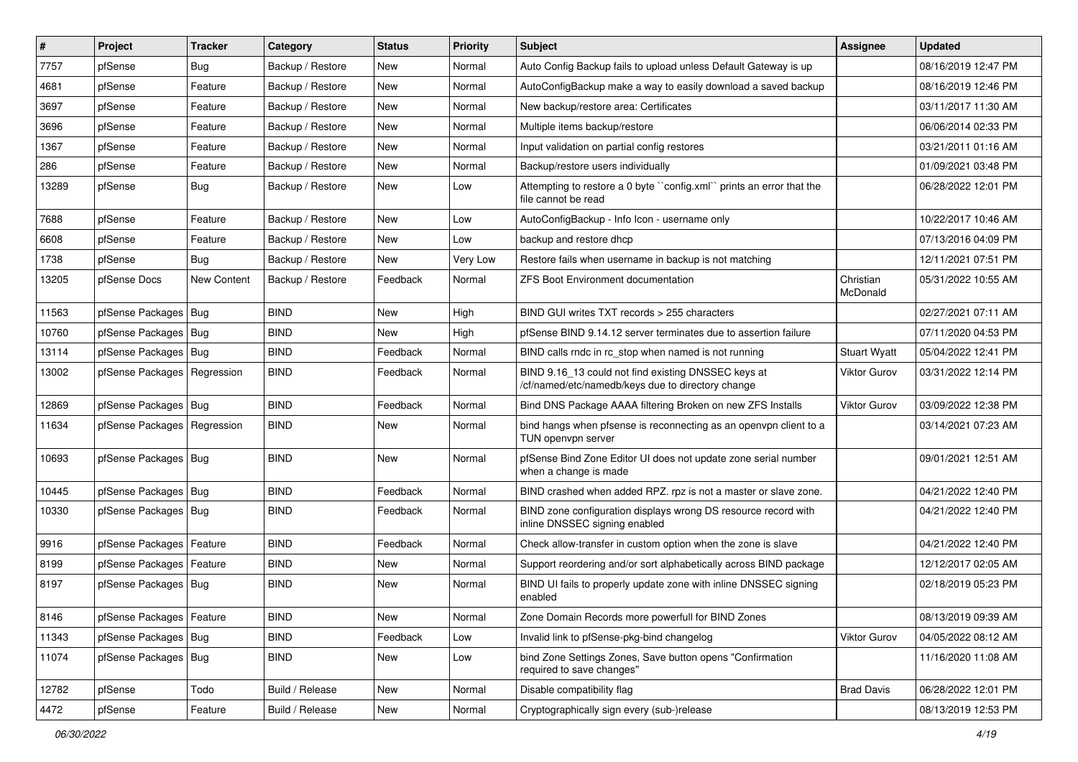| $\vert$ # | Project                       | <b>Tracker</b> | Category         | <b>Status</b> | <b>Priority</b> | Subject                                                                                                  | Assignee              | <b>Updated</b>      |
|-----------|-------------------------------|----------------|------------------|---------------|-----------------|----------------------------------------------------------------------------------------------------------|-----------------------|---------------------|
| 7757      | pfSense                       | <b>Bug</b>     | Backup / Restore | New           | Normal          | Auto Config Backup fails to upload unless Default Gateway is up                                          |                       | 08/16/2019 12:47 PM |
| 4681      | pfSense                       | Feature        | Backup / Restore | New           | Normal          | AutoConfigBackup make a way to easily download a saved backup                                            |                       | 08/16/2019 12:46 PM |
| 3697      | pfSense                       | Feature        | Backup / Restore | New           | Normal          | New backup/restore area: Certificates                                                                    |                       | 03/11/2017 11:30 AM |
| 3696      | pfSense                       | Feature        | Backup / Restore | New           | Normal          | Multiple items backup/restore                                                                            |                       | 06/06/2014 02:33 PM |
| 1367      | pfSense                       | Feature        | Backup / Restore | <b>New</b>    | Normal          | Input validation on partial config restores                                                              |                       | 03/21/2011 01:16 AM |
| 286       | pfSense                       | Feature        | Backup / Restore | New           | Normal          | Backup/restore users individually                                                                        |                       | 01/09/2021 03:48 PM |
| 13289     | pfSense                       | <b>Bug</b>     | Backup / Restore | New           | Low             | Attempting to restore a 0 byte "config.xml" prints an error that the<br>file cannot be read              |                       | 06/28/2022 12:01 PM |
| 7688      | pfSense                       | Feature        | Backup / Restore | New           | Low             | AutoConfigBackup - Info Icon - username only                                                             |                       | 10/22/2017 10:46 AM |
| 6608      | pfSense                       | Feature        | Backup / Restore | New           | Low             | backup and restore dhcp                                                                                  |                       | 07/13/2016 04:09 PM |
| 1738      | pfSense                       | Bug            | Backup / Restore | New           | Very Low        | Restore fails when username in backup is not matching                                                    |                       | 12/11/2021 07:51 PM |
| 13205     | pfSense Docs                  | New Content    | Backup / Restore | Feedback      | Normal          | <b>ZFS Boot Environment documentation</b>                                                                | Christian<br>McDonald | 05/31/2022 10:55 AM |
| 11563     | pfSense Packages   Bug        |                | <b>BIND</b>      | New           | High            | BIND GUI writes TXT records > 255 characters                                                             |                       | 02/27/2021 07:11 AM |
| 10760     | pfSense Packages   Bug        |                | <b>BIND</b>      | New           | High            | pfSense BIND 9.14.12 server terminates due to assertion failure                                          |                       | 07/11/2020 04:53 PM |
| 13114     | pfSense Packages   Bug        |                | <b>BIND</b>      | Feedback      | Normal          | BIND calls rndc in rc_stop when named is not running                                                     | <b>Stuart Wyatt</b>   | 05/04/2022 12:41 PM |
| 13002     | pfSense Packages              | Regression     | <b>BIND</b>      | Feedback      | Normal          | BIND 9.16_13 could not find existing DNSSEC keys at<br>/cf/named/etc/namedb/keys due to directory change | Viktor Gurov          | 03/31/2022 12:14 PM |
| 12869     | pfSense Packages   Bug        |                | <b>BIND</b>      | Feedback      | Normal          | Bind DNS Package AAAA filtering Broken on new ZFS Installs                                               | <b>Viktor Gurov</b>   | 03/09/2022 12:38 PM |
| 11634     | pfSense Packages   Regression |                | <b>BIND</b>      | New           | Normal          | bind hangs when pfsense is reconnecting as an openypn client to a<br>TUN openvpn server                  |                       | 03/14/2021 07:23 AM |
| 10693     | pfSense Packages   Bug        |                | <b>BIND</b>      | New           | Normal          | pfSense Bind Zone Editor UI does not update zone serial number<br>when a change is made                  |                       | 09/01/2021 12:51 AM |
| 10445     | pfSense Packages   Bug        |                | <b>BIND</b>      | Feedback      | Normal          | BIND crashed when added RPZ. rpz is not a master or slave zone.                                          |                       | 04/21/2022 12:40 PM |
| 10330     | pfSense Packages   Bug        |                | <b>BIND</b>      | Feedback      | Normal          | BIND zone configuration displays wrong DS resource record with<br>inline DNSSEC signing enabled          |                       | 04/21/2022 12:40 PM |
| 9916      | pfSense Packages   Feature    |                | <b>BIND</b>      | Feedback      | Normal          | Check allow-transfer in custom option when the zone is slave                                             |                       | 04/21/2022 12:40 PM |
| 8199      | pfSense Packages   Feature    |                | <b>BIND</b>      | <b>New</b>    | Normal          | Support reordering and/or sort alphabetically across BIND package                                        |                       | 12/12/2017 02:05 AM |
| 8197      | pfSense Packages   Bug        |                | <b>BIND</b>      | New           | Normal          | BIND UI fails to properly update zone with inline DNSSEC signing<br>enabled                              |                       | 02/18/2019 05:23 PM |
| 8146      | pfSense Packages   Feature    |                | <b>BIND</b>      | New           | Normal          | Zone Domain Records more powerfull for BIND Zones                                                        |                       | 08/13/2019 09:39 AM |
| 11343     | pfSense Packages   Bug        |                | <b>BIND</b>      | Feedback      | Low             | Invalid link to pfSense-pkg-bind changelog                                                               | Viktor Gurov          | 04/05/2022 08:12 AM |
| 11074     | pfSense Packages   Bug        |                | <b>BIND</b>      | New           | Low             | bind Zone Settings Zones, Save button opens "Confirmation<br>required to save changes"                   |                       | 11/16/2020 11:08 AM |
| 12782     | pfSense                       | Todo           | Build / Release  | New           | Normal          | Disable compatibility flag                                                                               | <b>Brad Davis</b>     | 06/28/2022 12:01 PM |
| 4472      | pfSense                       | Feature        | Build / Release  | New           | Normal          | Cryptographically sign every (sub-)release                                                               |                       | 08/13/2019 12:53 PM |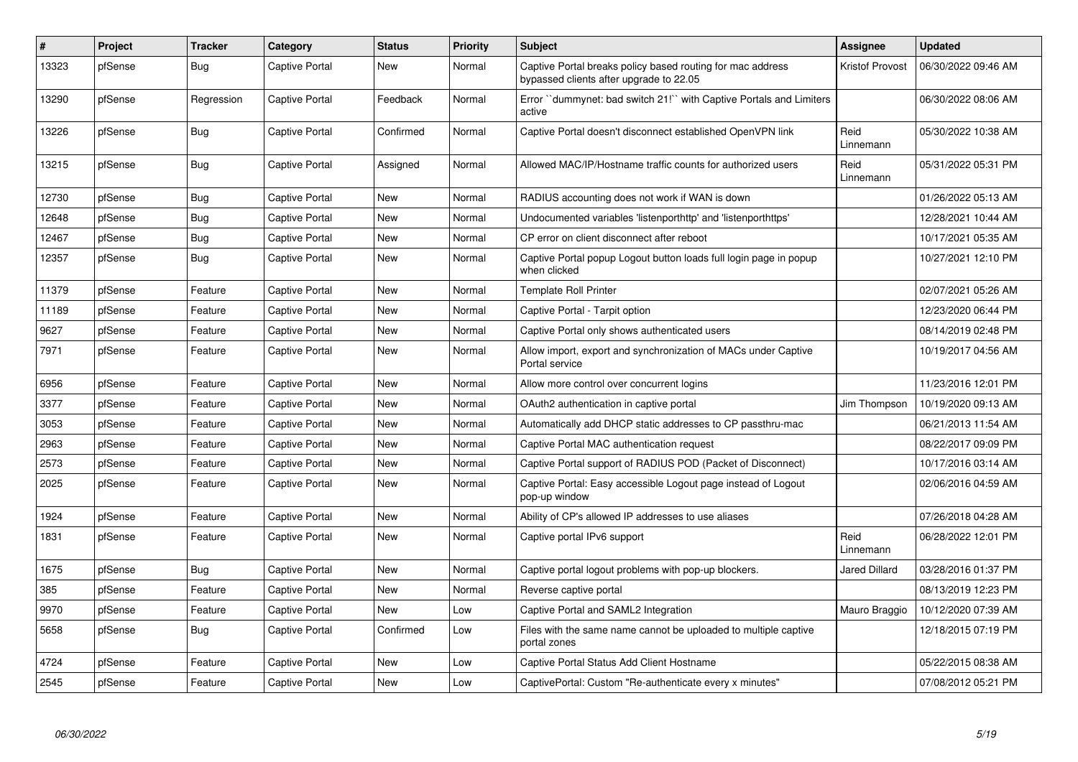| $\sharp$ | Project | <b>Tracker</b> | Category              | <b>Status</b> | <b>Priority</b> | <b>Subject</b>                                                                                        | <b>Assignee</b>        | <b>Updated</b>      |
|----------|---------|----------------|-----------------------|---------------|-----------------|-------------------------------------------------------------------------------------------------------|------------------------|---------------------|
| 13323    | pfSense | <b>Bug</b>     | Captive Portal        | <b>New</b>    | Normal          | Captive Portal breaks policy based routing for mac address<br>bypassed clients after upgrade to 22.05 | <b>Kristof Provost</b> | 06/30/2022 09:46 AM |
| 13290    | pfSense | Regression     | <b>Captive Portal</b> | Feedback      | Normal          | Error "dummynet: bad switch 21!" with Captive Portals and Limiters<br>active                          |                        | 06/30/2022 08:06 AM |
| 13226    | pfSense | <b>Bug</b>     | <b>Captive Portal</b> | Confirmed     | Normal          | Captive Portal doesn't disconnect established OpenVPN link                                            | Reid<br>Linnemann      | 05/30/2022 10:38 AM |
| 13215    | pfSense | <b>Bug</b>     | <b>Captive Portal</b> | Assigned      | Normal          | Allowed MAC/IP/Hostname traffic counts for authorized users                                           | Reid<br>Linnemann      | 05/31/2022 05:31 PM |
| 12730    | pfSense | <b>Bug</b>     | <b>Captive Portal</b> | <b>New</b>    | Normal          | RADIUS accounting does not work if WAN is down                                                        |                        | 01/26/2022 05:13 AM |
| 12648    | pfSense | <b>Bug</b>     | <b>Captive Portal</b> | <b>New</b>    | Normal          | Undocumented variables 'listenporthttp' and 'listenporthttps'                                         |                        | 12/28/2021 10:44 AM |
| 12467    | pfSense | Bug            | Captive Portal        | <b>New</b>    | Normal          | CP error on client disconnect after reboot                                                            |                        | 10/17/2021 05:35 AM |
| 12357    | pfSense | <b>Bug</b>     | <b>Captive Portal</b> | <b>New</b>    | Normal          | Captive Portal popup Logout button loads full login page in popup<br>when clicked                     |                        | 10/27/2021 12:10 PM |
| 11379    | pfSense | Feature        | Captive Portal        | <b>New</b>    | Normal          | <b>Template Roll Printer</b>                                                                          |                        | 02/07/2021 05:26 AM |
| 11189    | pfSense | Feature        | <b>Captive Portal</b> | <b>New</b>    | Normal          | Captive Portal - Tarpit option                                                                        |                        | 12/23/2020 06:44 PM |
| 9627     | pfSense | Feature        | Captive Portal        | <b>New</b>    | Normal          | Captive Portal only shows authenticated users                                                         |                        | 08/14/2019 02:48 PM |
| 7971     | pfSense | Feature        | <b>Captive Portal</b> | <b>New</b>    | Normal          | Allow import, export and synchronization of MACs under Captive<br>Portal service                      |                        | 10/19/2017 04:56 AM |
| 6956     | pfSense | Feature        | <b>Captive Portal</b> | <b>New</b>    | Normal          | Allow more control over concurrent logins                                                             |                        | 11/23/2016 12:01 PM |
| 3377     | pfSense | Feature        | <b>Captive Portal</b> | <b>New</b>    | Normal          | OAuth2 authentication in captive portal                                                               | Jim Thompson           | 10/19/2020 09:13 AM |
| 3053     | pfSense | Feature        | <b>Captive Portal</b> | New           | Normal          | Automatically add DHCP static addresses to CP passthru-mac                                            |                        | 06/21/2013 11:54 AM |
| 2963     | pfSense | Feature        | Captive Portal        | <b>New</b>    | Normal          | Captive Portal MAC authentication request                                                             |                        | 08/22/2017 09:09 PM |
| 2573     | pfSense | Feature        | <b>Captive Portal</b> | <b>New</b>    | Normal          | Captive Portal support of RADIUS POD (Packet of Disconnect)                                           |                        | 10/17/2016 03:14 AM |
| 2025     | pfSense | Feature        | Captive Portal        | New           | Normal          | Captive Portal: Easy accessible Logout page instead of Logout<br>pop-up window                        |                        | 02/06/2016 04:59 AM |
| 1924     | pfSense | Feature        | <b>Captive Portal</b> | <b>New</b>    | Normal          | Ability of CP's allowed IP addresses to use aliases                                                   |                        | 07/26/2018 04:28 AM |
| 1831     | pfSense | Feature        | Captive Portal        | New           | Normal          | Captive portal IPv6 support                                                                           | Reid<br>Linnemann      | 06/28/2022 12:01 PM |
| 1675     | pfSense | <b>Bug</b>     | Captive Portal        | New           | Normal          | Captive portal logout problems with pop-up blockers.                                                  | Jared Dillard          | 03/28/2016 01:37 PM |
| 385      | pfSense | Feature        | Captive Portal        | <b>New</b>    | Normal          | Reverse captive portal                                                                                |                        | 08/13/2019 12:23 PM |
| 9970     | pfSense | Feature        | <b>Captive Portal</b> | <b>New</b>    | Low             | Captive Portal and SAML2 Integration                                                                  | Mauro Braggio          | 10/12/2020 07:39 AM |
| 5658     | pfSense | <b>Bug</b>     | Captive Portal        | Confirmed     | Low             | Files with the same name cannot be uploaded to multiple captive<br>portal zones                       |                        | 12/18/2015 07:19 PM |
| 4724     | pfSense | Feature        | <b>Captive Portal</b> | <b>New</b>    | Low             | Captive Portal Status Add Client Hostname                                                             |                        | 05/22/2015 08:38 AM |
| 2545     | pfSense | Feature        | <b>Captive Portal</b> | <b>New</b>    | Low             | CaptivePortal: Custom "Re-authenticate every x minutes"                                               |                        | 07/08/2012 05:21 PM |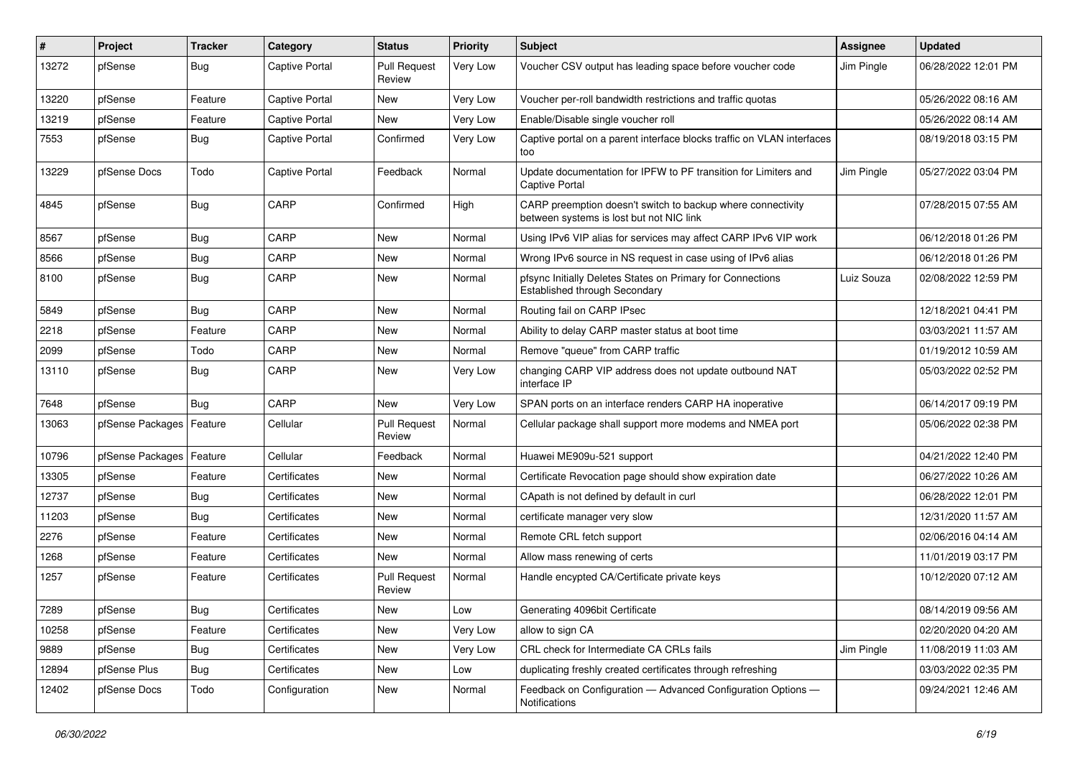| ∦     | Project                    | <b>Tracker</b> | Category       | <b>Status</b>                 | <b>Priority</b> | <b>Subject</b>                                                                                          | <b>Assignee</b> | <b>Updated</b>      |
|-------|----------------------------|----------------|----------------|-------------------------------|-----------------|---------------------------------------------------------------------------------------------------------|-----------------|---------------------|
| 13272 | pfSense                    | <b>Bug</b>     | Captive Portal | <b>Pull Request</b><br>Review | Very Low        | Voucher CSV output has leading space before voucher code                                                | Jim Pingle      | 06/28/2022 12:01 PM |
| 13220 | pfSense                    | Feature        | Captive Portal | New                           | Very Low        | Voucher per-roll bandwidth restrictions and traffic quotas                                              |                 | 05/26/2022 08:16 AM |
| 13219 | pfSense                    | Feature        | Captive Portal | <b>New</b>                    | Very Low        | Enable/Disable single voucher roll                                                                      |                 | 05/26/2022 08:14 AM |
| 7553  | pfSense                    | Bug            | Captive Portal | Confirmed                     | Very Low        | Captive portal on a parent interface blocks traffic on VLAN interfaces<br>too                           |                 | 08/19/2018 03:15 PM |
| 13229 | pfSense Docs               | Todo           | Captive Portal | Feedback                      | Normal          | Update documentation for IPFW to PF transition for Limiters and<br>Captive Portal                       | Jim Pingle      | 05/27/2022 03:04 PM |
| 4845  | pfSense                    | <b>Bug</b>     | CARP           | Confirmed                     | High            | CARP preemption doesn't switch to backup where connectivity<br>between systems is lost but not NIC link |                 | 07/28/2015 07:55 AM |
| 8567  | pfSense                    | <b>Bug</b>     | CARP           | New                           | Normal          | Using IPv6 VIP alias for services may affect CARP IPv6 VIP work                                         |                 | 06/12/2018 01:26 PM |
| 8566  | pfSense                    | <b>Bug</b>     | CARP           | New                           | Normal          | Wrong IPv6 source in NS request in case using of IPv6 alias                                             |                 | 06/12/2018 01:26 PM |
| 8100  | pfSense                    | <b>Bug</b>     | CARP           | New                           | Normal          | pfsync Initially Deletes States on Primary for Connections<br>Established through Secondary             | Luiz Souza      | 02/08/2022 12:59 PM |
| 5849  | pfSense                    | <b>Bug</b>     | CARP           | New                           | Normal          | Routing fail on CARP IPsec                                                                              |                 | 12/18/2021 04:41 PM |
| 2218  | pfSense                    | Feature        | CARP           | New                           | Normal          | Ability to delay CARP master status at boot time                                                        |                 | 03/03/2021 11:57 AM |
| 2099  | pfSense                    | Todo           | CARP           | New                           | Normal          | Remove "queue" from CARP traffic                                                                        |                 | 01/19/2012 10:59 AM |
| 13110 | pfSense                    | <b>Bug</b>     | CARP           | New                           | Very Low        | changing CARP VIP address does not update outbound NAT<br>interface IP                                  |                 | 05/03/2022 02:52 PM |
| 7648  | pfSense                    | <b>Bug</b>     | CARP           | <b>New</b>                    | Very Low        | SPAN ports on an interface renders CARP HA inoperative                                                  |                 | 06/14/2017 09:19 PM |
| 13063 | pfSense Packages   Feature |                | Cellular       | <b>Pull Request</b><br>Review | Normal          | Cellular package shall support more modems and NMEA port                                                |                 | 05/06/2022 02:38 PM |
| 10796 | pfSense Packages   Feature |                | Cellular       | Feedback                      | Normal          | Huawei ME909u-521 support                                                                               |                 | 04/21/2022 12:40 PM |
| 13305 | pfSense                    | Feature        | Certificates   | New                           | Normal          | Certificate Revocation page should show expiration date                                                 |                 | 06/27/2022 10:26 AM |
| 12737 | pfSense                    | <b>Bug</b>     | Certificates   | New                           | Normal          | CApath is not defined by default in curl                                                                |                 | 06/28/2022 12:01 PM |
| 11203 | pfSense                    | Bug            | Certificates   | New                           | Normal          | certificate manager very slow                                                                           |                 | 12/31/2020 11:57 AM |
| 2276  | pfSense                    | Feature        | Certificates   | New                           | Normal          | Remote CRL fetch support                                                                                |                 | 02/06/2016 04:14 AM |
| 1268  | pfSense                    | Feature        | Certificates   | New                           | Normal          | Allow mass renewing of certs                                                                            |                 | 11/01/2019 03:17 PM |
| 1257  | pfSense                    | Feature        | Certificates   | <b>Pull Request</b><br>Review | Normal          | Handle encypted CA/Certificate private keys                                                             |                 | 10/12/2020 07:12 AM |
| 7289  | pfSense                    | <b>Bug</b>     | Certificates   | New                           | LOW             | Generating 4096bit Certificate                                                                          |                 | 08/14/2019 09:56 AM |
| 10258 | pfSense                    | Feature        | Certificates   | New                           | Very Low        | allow to sign CA                                                                                        |                 | 02/20/2020 04:20 AM |
| 9889  | pfSense                    | <b>Bug</b>     | Certificates   | New                           | Very Low        | CRL check for Intermediate CA CRLs fails                                                                | Jim Pingle      | 11/08/2019 11:03 AM |
| 12894 | pfSense Plus               | <b>Bug</b>     | Certificates   | New                           | Low             | duplicating freshly created certificates through refreshing                                             |                 | 03/03/2022 02:35 PM |
| 12402 | pfSense Docs               | Todo           | Configuration  | New                           | Normal          | Feedback on Configuration - Advanced Configuration Options -<br>Notifications                           |                 | 09/24/2021 12:46 AM |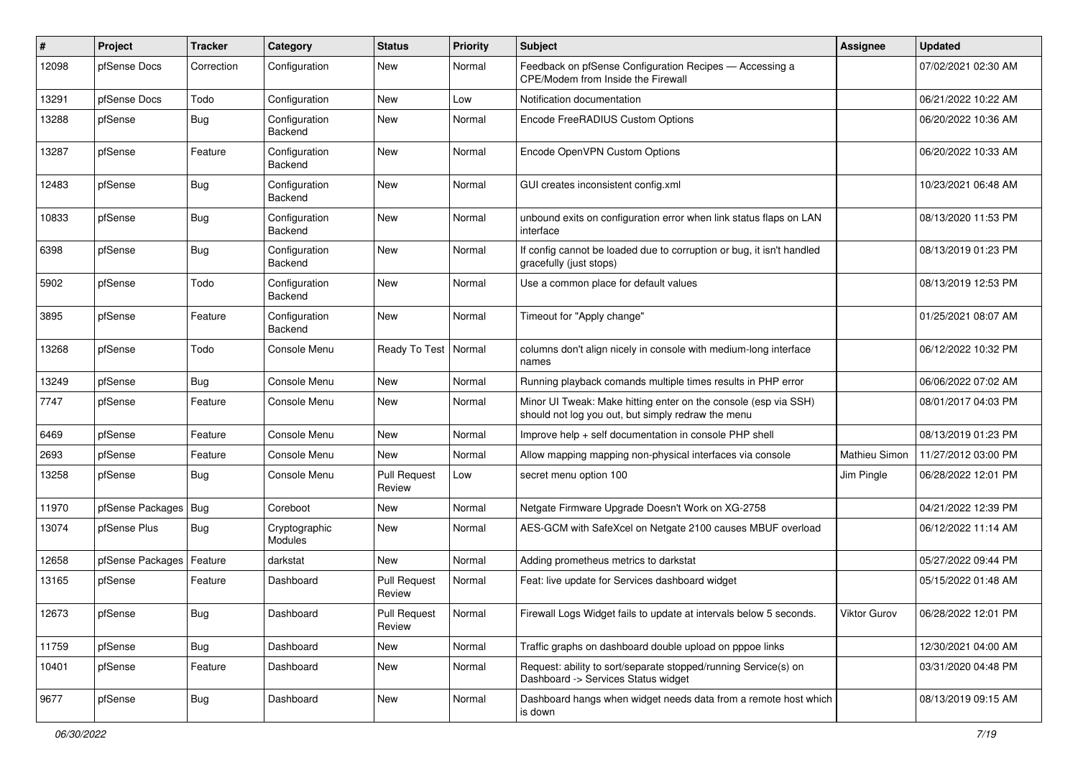| #     | Project                | <b>Tracker</b> | Category                 | <b>Status</b>                 | <b>Priority</b> | <b>Subject</b>                                                                                                        | Assignee      | <b>Updated</b>      |
|-------|------------------------|----------------|--------------------------|-------------------------------|-----------------|-----------------------------------------------------------------------------------------------------------------------|---------------|---------------------|
| 12098 | pfSense Docs           | Correction     | Configuration            | New                           | Normal          | Feedback on pfSense Configuration Recipes - Accessing a<br>CPE/Modem from Inside the Firewall                         |               | 07/02/2021 02:30 AM |
| 13291 | pfSense Docs           | Todo           | Configuration            | New                           | Low             | Notification documentation                                                                                            |               | 06/21/2022 10:22 AM |
| 13288 | pfSense                | <b>Bug</b>     | Configuration<br>Backend | New                           | Normal          | Encode FreeRADIUS Custom Options                                                                                      |               | 06/20/2022 10:36 AM |
| 13287 | pfSense                | Feature        | Configuration<br>Backend | New                           | Normal          | Encode OpenVPN Custom Options                                                                                         |               | 06/20/2022 10:33 AM |
| 12483 | pfSense                | Bug            | Configuration<br>Backend | New                           | Normal          | GUI creates inconsistent config.xml                                                                                   |               | 10/23/2021 06:48 AM |
| 10833 | pfSense                | <b>Bug</b>     | Configuration<br>Backend | New                           | Normal          | unbound exits on configuration error when link status flaps on LAN<br>interface                                       |               | 08/13/2020 11:53 PM |
| 6398  | pfSense                | <b>Bug</b>     | Configuration<br>Backend | New                           | Normal          | If config cannot be loaded due to corruption or bug, it isn't handled<br>gracefully (just stops)                      |               | 08/13/2019 01:23 PM |
| 5902  | pfSense                | Todo           | Configuration<br>Backend | New                           | Normal          | Use a common place for default values                                                                                 |               | 08/13/2019 12:53 PM |
| 3895  | pfSense                | Feature        | Configuration<br>Backend | New                           | Normal          | Timeout for "Apply change"                                                                                            |               | 01/25/2021 08:07 AM |
| 13268 | pfSense                | Todo           | Console Menu             | Ready To Test                 | Normal          | columns don't align nicely in console with medium-long interface<br>names                                             |               | 06/12/2022 10:32 PM |
| 13249 | pfSense                | <b>Bug</b>     | Console Menu             | New                           | Normal          | Running playback comands multiple times results in PHP error                                                          |               | 06/06/2022 07:02 AM |
| 7747  | pfSense                | Feature        | Console Menu             | New                           | Normal          | Minor UI Tweak: Make hitting enter on the console (esp via SSH)<br>should not log you out, but simply redraw the menu |               | 08/01/2017 04:03 PM |
| 6469  | pfSense                | Feature        | Console Menu             | New                           | Normal          | Improve help + self documentation in console PHP shell                                                                |               | 08/13/2019 01:23 PM |
| 2693  | pfSense                | Feature        | Console Menu             | <b>New</b>                    | Normal          | Allow mapping mapping non-physical interfaces via console                                                             | Mathieu Simon | 11/27/2012 03:00 PM |
| 13258 | pfSense                | <b>Bug</b>     | Console Menu             | <b>Pull Request</b><br>Review | Low             | secret menu option 100                                                                                                | Jim Pingle    | 06/28/2022 12:01 PM |
| 11970 | pfSense Packages   Bug |                | Coreboot                 | <b>New</b>                    | Normal          | Netgate Firmware Upgrade Doesn't Work on XG-2758                                                                      |               | 04/21/2022 12:39 PM |
| 13074 | pfSense Plus           | <b>Bug</b>     | Cryptographic<br>Modules | New                           | Normal          | AES-GCM with SafeXcel on Netgate 2100 causes MBUF overload                                                            |               | 06/12/2022 11:14 AM |
| 12658 | pfSense Packages       | Feature        | darkstat                 | New                           | Normal          | Adding prometheus metrics to darkstat                                                                                 |               | 05/27/2022 09:44 PM |
| 13165 | pfSense                | Feature        | Dashboard                | <b>Pull Request</b><br>Review | Normal          | Feat: live update for Services dashboard widget                                                                       |               | 05/15/2022 01:48 AM |
| 12673 | pfSense                | Bug            | Dashboard                | <b>Pull Request</b><br>Review | Normal          | Firewall Logs Widget fails to update at intervals below 5 seconds.                                                    | Viktor Gurov  | 06/28/2022 12:01 PM |
| 11759 | pfSense                | Bug            | Dashboard                | New                           | Normal          | Traffic graphs on dashboard double upload on pppoe links                                                              |               | 12/30/2021 04:00 AM |
| 10401 | pfSense                | Feature        | Dashboard                | New                           | Normal          | Request: ability to sort/separate stopped/running Service(s) on<br>Dashboard -> Services Status widget                |               | 03/31/2020 04:48 PM |
| 9677  | pfSense                | Bug            | Dashboard                | New                           | Normal          | Dashboard hangs when widget needs data from a remote host which<br>is down                                            |               | 08/13/2019 09:15 AM |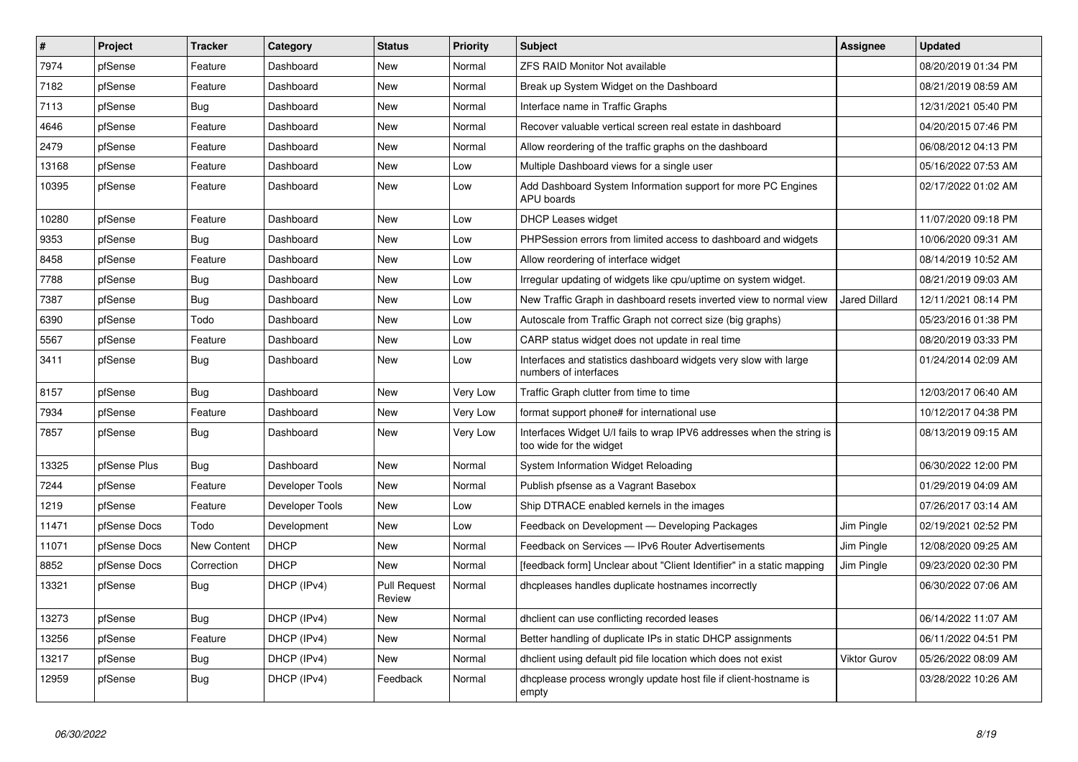| $\vert$ # | Project      | <b>Tracker</b> | Category        | <b>Status</b>                 | <b>Priority</b> | <b>Subject</b>                                                                                   | <b>Assignee</b>      | <b>Updated</b>      |
|-----------|--------------|----------------|-----------------|-------------------------------|-----------------|--------------------------------------------------------------------------------------------------|----------------------|---------------------|
| 7974      | pfSense      | Feature        | Dashboard       | <b>New</b>                    | Normal          | <b>ZFS RAID Monitor Not available</b>                                                            |                      | 08/20/2019 01:34 PM |
| 7182      | pfSense      | Feature        | Dashboard       | New                           | Normal          | Break up System Widget on the Dashboard                                                          |                      | 08/21/2019 08:59 AM |
| 7113      | pfSense      | <b>Bug</b>     | Dashboard       | <b>New</b>                    | Normal          | Interface name in Traffic Graphs                                                                 |                      | 12/31/2021 05:40 PM |
| 4646      | pfSense      | Feature        | Dashboard       | <b>New</b>                    | Normal          | Recover valuable vertical screen real estate in dashboard                                        |                      | 04/20/2015 07:46 PM |
| 2479      | pfSense      | Feature        | Dashboard       | <b>New</b>                    | Normal          | Allow reordering of the traffic graphs on the dashboard                                          |                      | 06/08/2012 04:13 PM |
| 13168     | pfSense      | Feature        | Dashboard       | New                           | Low             | Multiple Dashboard views for a single user                                                       |                      | 05/16/2022 07:53 AM |
| 10395     | pfSense      | Feature        | Dashboard       | New                           | Low             | Add Dashboard System Information support for more PC Engines<br>APU boards                       |                      | 02/17/2022 01:02 AM |
| 10280     | pfSense      | Feature        | Dashboard       | <b>New</b>                    | Low             | <b>DHCP Leases widget</b>                                                                        |                      | 11/07/2020 09:18 PM |
| 9353      | pfSense      | <b>Bug</b>     | Dashboard       | <b>New</b>                    | Low             | PHPSession errors from limited access to dashboard and widgets                                   |                      | 10/06/2020 09:31 AM |
| 8458      | pfSense      | Feature        | Dashboard       | New                           | Low             | Allow reordering of interface widget                                                             |                      | 08/14/2019 10:52 AM |
| 7788      | pfSense      | <b>Bug</b>     | Dashboard       | <b>New</b>                    | Low             | Irregular updating of widgets like cpu/uptime on system widget.                                  |                      | 08/21/2019 09:03 AM |
| 7387      | pfSense      | <b>Bug</b>     | Dashboard       | <b>New</b>                    | Low             | New Traffic Graph in dashboard resets inverted view to normal view                               | <b>Jared Dillard</b> | 12/11/2021 08:14 PM |
| 6390      | pfSense      | Todo           | Dashboard       | <b>New</b>                    | Low             | Autoscale from Traffic Graph not correct size (big graphs)                                       |                      | 05/23/2016 01:38 PM |
| 5567      | pfSense      | Feature        | Dashboard       | New                           | Low             | CARP status widget does not update in real time                                                  |                      | 08/20/2019 03:33 PM |
| 3411      | pfSense      | <b>Bug</b>     | Dashboard       | New                           | Low             | Interfaces and statistics dashboard widgets very slow with large<br>numbers of interfaces        |                      | 01/24/2014 02:09 AM |
| 8157      | pfSense      | Bug            | Dashboard       | New                           | Very Low        | Traffic Graph clutter from time to time                                                          |                      | 12/03/2017 06:40 AM |
| 7934      | pfSense      | Feature        | Dashboard       | New                           | Very Low        | format support phone# for international use                                                      |                      | 10/12/2017 04:38 PM |
| 7857      | pfSense      | <b>Bug</b>     | Dashboard       | New                           | Very Low        | Interfaces Widget U/I fails to wrap IPV6 addresses when the string is<br>too wide for the widget |                      | 08/13/2019 09:15 AM |
| 13325     | pfSense Plus | Bug            | Dashboard       | New                           | Normal          | System Information Widget Reloading                                                              |                      | 06/30/2022 12:00 PM |
| 7244      | pfSense      | Feature        | Developer Tools | New                           | Normal          | Publish pfsense as a Vagrant Basebox                                                             |                      | 01/29/2019 04:09 AM |
| 1219      | pfSense      | Feature        | Developer Tools | New                           | Low             | Ship DTRACE enabled kernels in the images                                                        |                      | 07/26/2017 03:14 AM |
| 11471     | pfSense Docs | Todo           | Development     | New                           | Low             | Feedback on Development - Developing Packages                                                    | Jim Pingle           | 02/19/2021 02:52 PM |
| 11071     | pfSense Docs | New Content    | <b>DHCP</b>     | New                           | Normal          | Feedback on Services - IPv6 Router Advertisements                                                | Jim Pingle           | 12/08/2020 09:25 AM |
| 8852      | pfSense Docs | Correction     | <b>DHCP</b>     | New                           | Normal          | [feedback form] Unclear about "Client Identifier" in a static mapping                            | Jim Pingle           | 09/23/2020 02:30 PM |
| 13321     | pfSense      | <b>Bug</b>     | DHCP (IPv4)     | <b>Pull Request</b><br>Review | Normal          | dhcpleases handles duplicate hostnames incorrectly                                               |                      | 06/30/2022 07:06 AM |
| 13273     | pfSense      | Bug            | DHCP (IPv4)     | New                           | Normal          | dholient can use conflicting recorded leases                                                     |                      | 06/14/2022 11:07 AM |
| 13256     | pfSense      | Feature        | DHCP (IPv4)     | <b>New</b>                    | Normal          | Better handling of duplicate IPs in static DHCP assignments                                      |                      | 06/11/2022 04:51 PM |
| 13217     | pfSense      | <b>Bug</b>     | DHCP (IPv4)     | New                           | Normal          | dhclient using default pid file location which does not exist                                    | <b>Viktor Gurov</b>  | 05/26/2022 08:09 AM |
| 12959     | pfSense      | Bug            | DHCP (IPv4)     | Feedback                      | Normal          | dhcplease process wrongly update host file if client-hostname is<br>empty                        |                      | 03/28/2022 10:26 AM |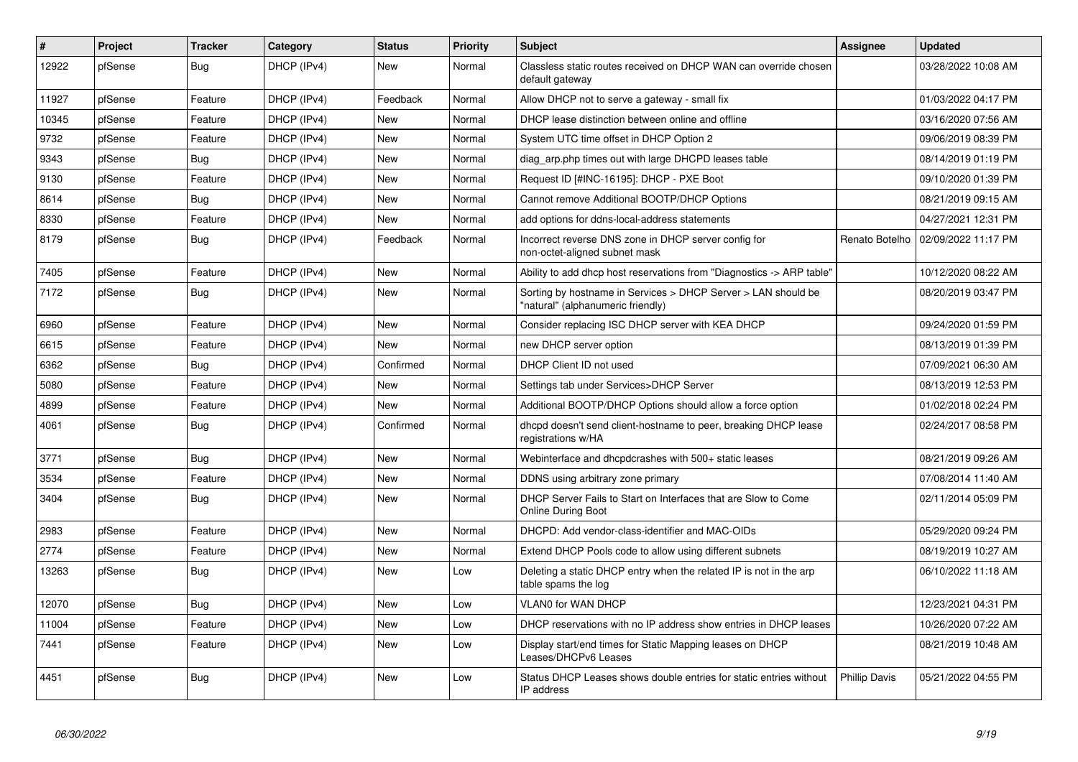| $\vert$ # | <b>Project</b> | <b>Tracker</b> | Category    | <b>Status</b> | <b>Priority</b> | <b>Subject</b>                                                                                     | Assignee             | <b>Updated</b>      |
|-----------|----------------|----------------|-------------|---------------|-----------------|----------------------------------------------------------------------------------------------------|----------------------|---------------------|
| 12922     | pfSense        | Bug            | DHCP (IPv4) | New           | Normal          | Classless static routes received on DHCP WAN can override chosen<br>default gateway                |                      | 03/28/2022 10:08 AM |
| 11927     | pfSense        | Feature        | DHCP (IPv4) | Feedback      | Normal          | Allow DHCP not to serve a gateway - small fix                                                      |                      | 01/03/2022 04:17 PM |
| 10345     | pfSense        | Feature        | DHCP (IPv4) | New           | Normal          | DHCP lease distinction between online and offline                                                  |                      | 03/16/2020 07:56 AM |
| 9732      | pfSense        | Feature        | DHCP (IPv4) | <b>New</b>    | Normal          | System UTC time offset in DHCP Option 2                                                            |                      | 09/06/2019 08:39 PM |
| 9343      | pfSense        | Bug            | DHCP (IPv4) | <b>New</b>    | Normal          | diag arp.php times out with large DHCPD leases table                                               |                      | 08/14/2019 01:19 PM |
| 9130      | pfSense        | Feature        | DHCP (IPv4) | New           | Normal          | Request ID [#INC-16195]: DHCP - PXE Boot                                                           |                      | 09/10/2020 01:39 PM |
| 8614      | pfSense        | <b>Bug</b>     | DHCP (IPv4) | <b>New</b>    | Normal          | Cannot remove Additional BOOTP/DHCP Options                                                        |                      | 08/21/2019 09:15 AM |
| 8330      | pfSense        | Feature        | DHCP (IPv4) | <b>New</b>    | Normal          | add options for ddns-local-address statements                                                      |                      | 04/27/2021 12:31 PM |
| 8179      | pfSense        | <b>Bug</b>     | DHCP (IPv4) | Feedback      | Normal          | Incorrect reverse DNS zone in DHCP server config for<br>non-octet-aligned subnet mask              | Renato Botelho       | 02/09/2022 11:17 PM |
| 7405      | pfSense        | Feature        | DHCP (IPv4) | New           | Normal          | Ability to add dhcp host reservations from "Diagnostics -> ARP table"                              |                      | 10/12/2020 08:22 AM |
| 7172      | pfSense        | Bug            | DHCP (IPv4) | New           | Normal          | Sorting by hostname in Services > DHCP Server > LAN should be<br>"natural" (alphanumeric friendly) |                      | 08/20/2019 03:47 PM |
| 6960      | pfSense        | Feature        | DHCP (IPv4) | New           | Normal          | Consider replacing ISC DHCP server with KEA DHCP                                                   |                      | 09/24/2020 01:59 PM |
| 6615      | pfSense        | Feature        | DHCP (IPv4) | <b>New</b>    | Normal          | new DHCP server option                                                                             |                      | 08/13/2019 01:39 PM |
| 6362      | pfSense        | Bug            | DHCP (IPv4) | Confirmed     | Normal          | DHCP Client ID not used                                                                            |                      | 07/09/2021 06:30 AM |
| 5080      | pfSense        | Feature        | DHCP (IPv4) | <b>New</b>    | Normal          | Settings tab under Services>DHCP Server                                                            |                      | 08/13/2019 12:53 PM |
| 4899      | pfSense        | Feature        | DHCP (IPv4) | New           | Normal          | Additional BOOTP/DHCP Options should allow a force option                                          |                      | 01/02/2018 02:24 PM |
| 4061      | pfSense        | Bug            | DHCP (IPv4) | Confirmed     | Normal          | dhopd doesn't send client-hostname to peer, breaking DHCP lease<br>registrations w/HA              |                      | 02/24/2017 08:58 PM |
| 3771      | pfSense        | Bug            | DHCP (IPv4) | New           | Normal          | Webinterface and dhcpdcrashes with 500+ static leases                                              |                      | 08/21/2019 09:26 AM |
| 3534      | pfSense        | Feature        | DHCP (IPv4) | New           | Normal          | DDNS using arbitrary zone primary                                                                  |                      | 07/08/2014 11:40 AM |
| 3404      | pfSense        | <b>Bug</b>     | DHCP (IPv4) | New           | Normal          | DHCP Server Fails to Start on Interfaces that are Slow to Come<br><b>Online During Boot</b>        |                      | 02/11/2014 05:09 PM |
| 2983      | pfSense        | Feature        | DHCP (IPv4) | <b>New</b>    | Normal          | DHCPD: Add vendor-class-identifier and MAC-OIDs                                                    |                      | 05/29/2020 09:24 PM |
| 2774      | pfSense        | Feature        | DHCP (IPv4) | <b>New</b>    | Normal          | Extend DHCP Pools code to allow using different subnets                                            |                      | 08/19/2019 10:27 AM |
| 13263     | pfSense        | <b>Bug</b>     | DHCP (IPv4) | New           | Low             | Deleting a static DHCP entry when the related IP is not in the arp<br>table spams the log          |                      | 06/10/2022 11:18 AM |
| 12070     | pfSense        | <b>Bug</b>     | DHCP (IPv4) | <b>New</b>    | Low             | <b>VLAN0 for WAN DHCP</b>                                                                          |                      | 12/23/2021 04:31 PM |
| 11004     | pfSense        | Feature        | DHCP (IPv4) | <b>New</b>    | Low             | DHCP reservations with no IP address show entries in DHCP leases                                   |                      | 10/26/2020 07:22 AM |
| 7441      | pfSense        | Feature        | DHCP (IPv4) | New           | Low             | Display start/end times for Static Mapping leases on DHCP<br>Leases/DHCPv6 Leases                  |                      | 08/21/2019 10:48 AM |
| 4451      | pfSense        | <b>Bug</b>     | DHCP (IPv4) | <b>New</b>    | Low             | Status DHCP Leases shows double entries for static entries without<br>IP address                   | <b>Phillip Davis</b> | 05/21/2022 04:55 PM |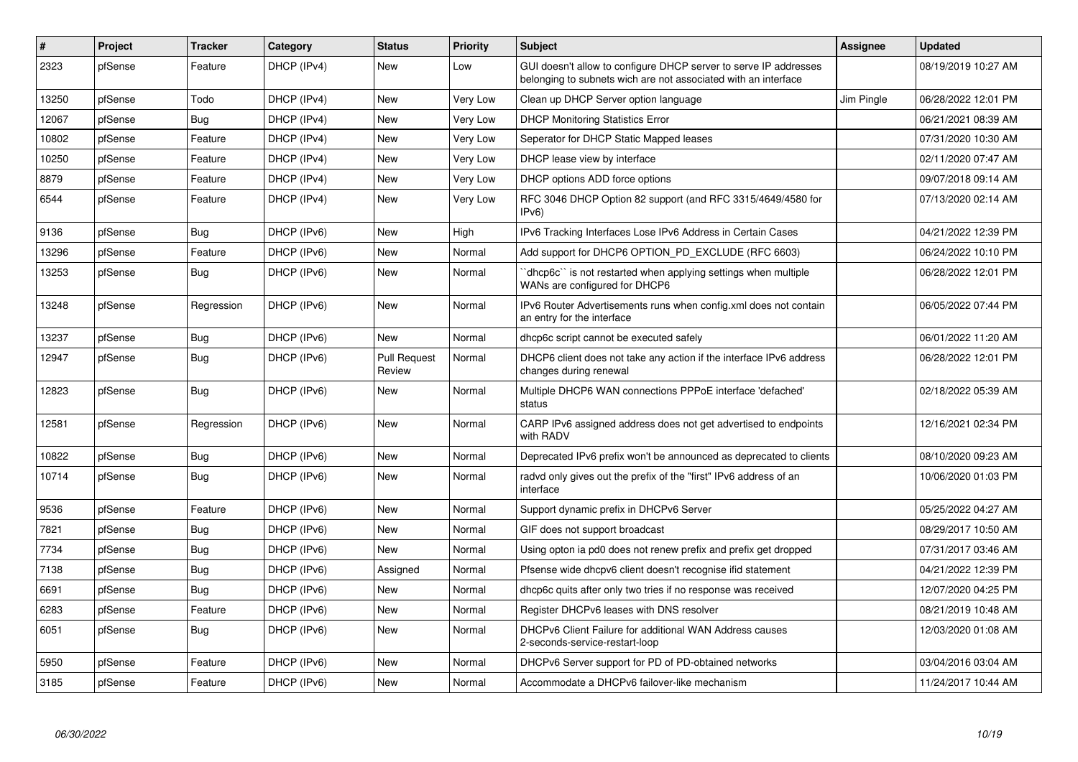| #     | Project | <b>Tracker</b> | Category    | <b>Status</b>                 | <b>Priority</b> | <b>Subject</b>                                                                                                                     | Assignee   | <b>Updated</b>      |
|-------|---------|----------------|-------------|-------------------------------|-----------------|------------------------------------------------------------------------------------------------------------------------------------|------------|---------------------|
| 2323  | pfSense | Feature        | DHCP (IPv4) | <b>New</b>                    | Low             | GUI doesn't allow to configure DHCP server to serve IP addresses<br>belonging to subnets wich are not associated with an interface |            | 08/19/2019 10:27 AM |
| 13250 | pfSense | Todo           | DHCP (IPv4) | <b>New</b>                    | Very Low        | Clean up DHCP Server option language                                                                                               | Jim Pingle | 06/28/2022 12:01 PM |
| 12067 | pfSense | <b>Bug</b>     | DHCP (IPv4) | New                           | <b>Very Low</b> | <b>DHCP Monitoring Statistics Error</b>                                                                                            |            | 06/21/2021 08:39 AM |
| 10802 | pfSense | Feature        | DHCP (IPv4) | New                           | Very Low        | Seperator for DHCP Static Mapped leases                                                                                            |            | 07/31/2020 10:30 AM |
| 10250 | pfSense | Feature        | DHCP (IPv4) | New                           | Very Low        | DHCP lease view by interface                                                                                                       |            | 02/11/2020 07:47 AM |
| 8879  | pfSense | Feature        | DHCP (IPv4) | New                           | Very Low        | DHCP options ADD force options                                                                                                     |            | 09/07/2018 09:14 AM |
| 6544  | pfSense | Feature        | DHCP (IPv4) | New                           | Very Low        | RFC 3046 DHCP Option 82 support (and RFC 3315/4649/4580 for<br>IPv6)                                                               |            | 07/13/2020 02:14 AM |
| 9136  | pfSense | Bug            | DHCP (IPv6) | New                           | High            | IPv6 Tracking Interfaces Lose IPv6 Address in Certain Cases                                                                        |            | 04/21/2022 12:39 PM |
| 13296 | pfSense | Feature        | DHCP (IPv6) | New                           | Normal          | Add support for DHCP6 OPTION PD EXCLUDE (RFC 6603)                                                                                 |            | 06/24/2022 10:10 PM |
| 13253 | pfSense | Bug            | DHCP (IPv6) | New                           | Normal          | dhcp6c" is not restarted when applying settings when multiple<br>WANs are configured for DHCP6                                     |            | 06/28/2022 12:01 PM |
| 13248 | pfSense | Regression     | DHCP (IPv6) | New                           | Normal          | IPv6 Router Advertisements runs when config.xml does not contain<br>an entry for the interface                                     |            | 06/05/2022 07:44 PM |
| 13237 | pfSense | Bug            | DHCP (IPv6) | New                           | Normal          | dhcp6c script cannot be executed safely                                                                                            |            | 06/01/2022 11:20 AM |
| 12947 | pfSense | Bug            | DHCP (IPv6) | <b>Pull Request</b><br>Review | Normal          | DHCP6 client does not take any action if the interface IPv6 address<br>changes during renewal                                      |            | 06/28/2022 12:01 PM |
| 12823 | pfSense | Bug            | DHCP (IPv6) | New                           | Normal          | Multiple DHCP6 WAN connections PPPoE interface 'defached'<br>status                                                                |            | 02/18/2022 05:39 AM |
| 12581 | pfSense | Regression     | DHCP (IPv6) | <b>New</b>                    | Normal          | CARP IPv6 assigned address does not get advertised to endpoints<br>with RADV                                                       |            | 12/16/2021 02:34 PM |
| 10822 | pfSense | Bug            | DHCP (IPv6) | <b>New</b>                    | Normal          | Deprecated IPv6 prefix won't be announced as deprecated to clients                                                                 |            | 08/10/2020 09:23 AM |
| 10714 | pfSense | Bug            | DHCP (IPv6) | New                           | Normal          | radyd only gives out the prefix of the "first" IPv6 address of an<br>interface                                                     |            | 10/06/2020 01:03 PM |
| 9536  | pfSense | Feature        | DHCP (IPv6) | <b>New</b>                    | Normal          | Support dynamic prefix in DHCPv6 Server                                                                                            |            | 05/25/2022 04:27 AM |
| 7821  | pfSense | Bug            | DHCP (IPv6) | New                           | Normal          | GIF does not support broadcast                                                                                                     |            | 08/29/2017 10:50 AM |
| 7734  | pfSense | <b>Bug</b>     | DHCP (IPv6) | New                           | Normal          | Using opton ia pd0 does not renew prefix and prefix get dropped                                                                    |            | 07/31/2017 03:46 AM |
| 7138  | pfSense | Bug            | DHCP (IPv6) | Assigned                      | Normal          | Pfsense wide dhcpv6 client doesn't recognise ifid statement                                                                        |            | 04/21/2022 12:39 PM |
| 6691  | pfSense | <b>Bug</b>     | DHCP (IPv6) | <b>New</b>                    | Normal          | dhcp6c quits after only two tries if no response was received                                                                      |            | 12/07/2020 04:25 PM |
| 6283  | pfSense | Feature        | DHCP (IPv6) | New                           | Normal          | Register DHCPv6 leases with DNS resolver                                                                                           |            | 08/21/2019 10:48 AM |
| 6051  | pfSense | Bug            | DHCP (IPv6) | <b>New</b>                    | Normal          | DHCPv6 Client Failure for additional WAN Address causes<br>2-seconds-service-restart-loop                                          |            | 12/03/2020 01:08 AM |
| 5950  | pfSense | Feature        | DHCP (IPv6) | New                           | Normal          | DHCPv6 Server support for PD of PD-obtained networks                                                                               |            | 03/04/2016 03:04 AM |
| 3185  | pfSense | Feature        | DHCP (IPv6) | <b>New</b>                    | Normal          | Accommodate a DHCPv6 failover-like mechanism                                                                                       |            | 11/24/2017 10:44 AM |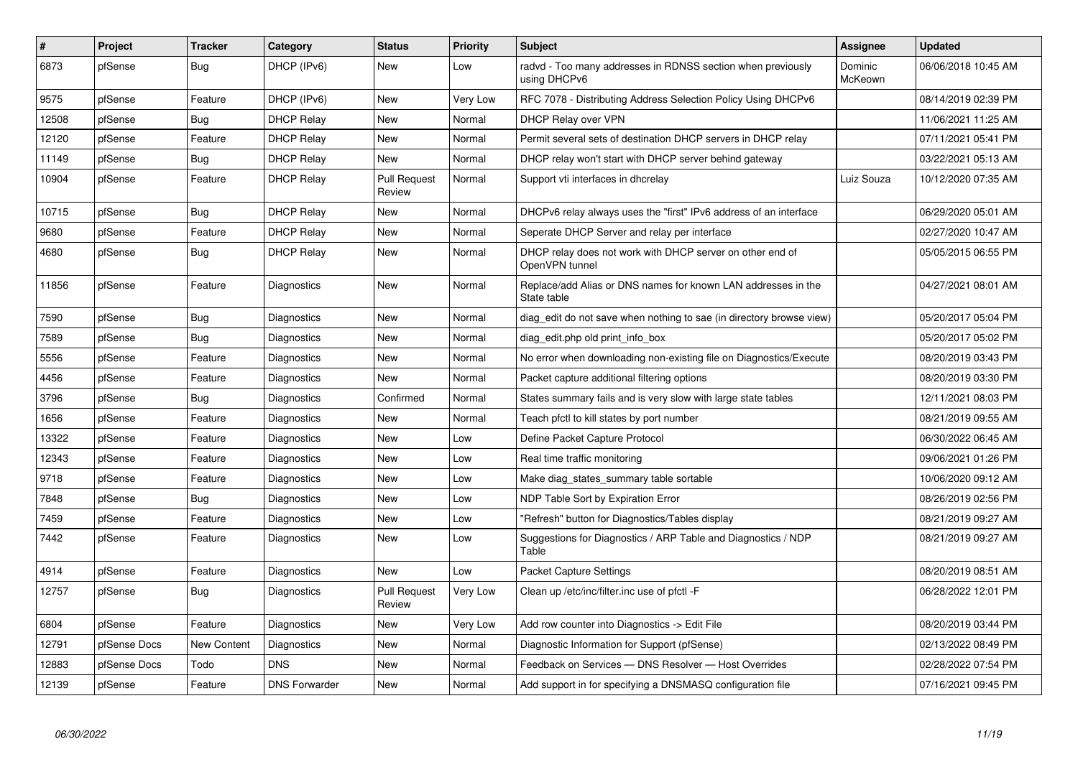| $\sharp$ | Project      | <b>Tracker</b>     | Category             | <b>Status</b>                 | <b>Priority</b> | <b>Subject</b>                                                               | Assignee           | <b>Updated</b>      |
|----------|--------------|--------------------|----------------------|-------------------------------|-----------------|------------------------------------------------------------------------------|--------------------|---------------------|
| 6873     | pfSense      | Bug                | DHCP (IPv6)          | <b>New</b>                    | Low             | radvd - Too many addresses in RDNSS section when previously<br>using DHCPv6  | Dominic<br>McKeown | 06/06/2018 10:45 AM |
| 9575     | pfSense      | Feature            | DHCP (IPv6)          | <b>New</b>                    | Very Low        | RFC 7078 - Distributing Address Selection Policy Using DHCPv6                |                    | 08/14/2019 02:39 PM |
| 12508    | pfSense      | Bug                | <b>DHCP Relay</b>    | New                           | Normal          | <b>DHCP Relay over VPN</b>                                                   |                    | 11/06/2021 11:25 AM |
| 12120    | pfSense      | Feature            | <b>DHCP Relay</b>    | <b>New</b>                    | Normal          | Permit several sets of destination DHCP servers in DHCP relay                |                    | 07/11/2021 05:41 PM |
| 11149    | pfSense      | Bug                | <b>DHCP Relav</b>    | <b>New</b>                    | Normal          | DHCP relay won't start with DHCP server behind gateway                       |                    | 03/22/2021 05:13 AM |
| 10904    | pfSense      | Feature            | <b>DHCP Relay</b>    | <b>Pull Request</b><br>Review | Normal          | Support vti interfaces in dhcrelay                                           | Luiz Souza         | 10/12/2020 07:35 AM |
| 10715    | pfSense      | Bug                | <b>DHCP Relay</b>    | <b>New</b>                    | Normal          | DHCPv6 relay always uses the "first" IPv6 address of an interface            |                    | 06/29/2020 05:01 AM |
| 9680     | pfSense      | Feature            | <b>DHCP Relay</b>    | <b>New</b>                    | Normal          | Seperate DHCP Server and relay per interface                                 |                    | 02/27/2020 10:47 AM |
| 4680     | pfSense      | <b>Bug</b>         | <b>DHCP Relay</b>    | New                           | Normal          | DHCP relay does not work with DHCP server on other end of<br>OpenVPN tunnel  |                    | 05/05/2015 06:55 PM |
| 11856    | pfSense      | Feature            | Diagnostics          | <b>New</b>                    | Normal          | Replace/add Alias or DNS names for known LAN addresses in the<br>State table |                    | 04/27/2021 08:01 AM |
| 7590     | pfSense      | Bug                | Diagnostics          | <b>New</b>                    | Normal          | diag_edit do not save when nothing to sae (in directory browse view)         |                    | 05/20/2017 05:04 PM |
| 7589     | pfSense      | Bug                | Diagnostics          | <b>New</b>                    | Normal          | diag edit.php old print info box                                             |                    | 05/20/2017 05:02 PM |
| 5556     | pfSense      | Feature            | Diagnostics          | New                           | Normal          | No error when downloading non-existing file on Diagnostics/Execute           |                    | 08/20/2019 03:43 PM |
| 4456     | pfSense      | Feature            | Diagnostics          | <b>New</b>                    | Normal          | Packet capture additional filtering options                                  |                    | 08/20/2019 03:30 PM |
| 3796     | pfSense      | <b>Bug</b>         | Diagnostics          | Confirmed                     | Normal          | States summary fails and is very slow with large state tables                |                    | 12/11/2021 08:03 PM |
| 1656     | pfSense      | Feature            | Diagnostics          | <b>New</b>                    | Normal          | Teach pfctl to kill states by port number                                    |                    | 08/21/2019 09:55 AM |
| 13322    | pfSense      | Feature            | Diagnostics          | <b>New</b>                    | Low             | Define Packet Capture Protocol                                               |                    | 06/30/2022 06:45 AM |
| 12343    | pfSense      | Feature            | Diagnostics          | New                           | Low             | Real time traffic monitoring                                                 |                    | 09/06/2021 01:26 PM |
| 9718     | pfSense      | Feature            | Diagnostics          | <b>New</b>                    | Low             | Make diag_states_summary table sortable                                      |                    | 10/06/2020 09:12 AM |
| 7848     | pfSense      | <b>Bug</b>         | Diagnostics          | <b>New</b>                    | Low             | NDP Table Sort by Expiration Error                                           |                    | 08/26/2019 02:56 PM |
| 7459     | pfSense      | Feature            | Diagnostics          | <b>New</b>                    | Low             | 'Refresh" button for Diagnostics/Tables display                              |                    | 08/21/2019 09:27 AM |
| 7442     | pfSense      | Feature            | Diagnostics          | <b>New</b>                    | Low             | Suggestions for Diagnostics / ARP Table and Diagnostics / NDP<br>Table       |                    | 08/21/2019 09:27 AM |
| 4914     | pfSense      | Feature            | Diagnostics          | <b>New</b>                    | Low             | <b>Packet Capture Settings</b>                                               |                    | 08/20/2019 08:51 AM |
| 12757    | pfSense      | Bug                | Diagnostics          | <b>Pull Request</b><br>Review | Very Low        | Clean up /etc/inc/filter.inc use of pfctl -F                                 |                    | 06/28/2022 12:01 PM |
| 6804     | pfSense      | Feature            | Diagnostics          | <b>New</b>                    | Very Low        | Add row counter into Diagnostics -> Edit File                                |                    | 08/20/2019 03:44 PM |
| 12791    | pfSense Docs | <b>New Content</b> | Diagnostics          | <b>New</b>                    | Normal          | Diagnostic Information for Support (pfSense)                                 |                    | 02/13/2022 08:49 PM |
| 12883    | pfSense Docs | Todo               | <b>DNS</b>           | <b>New</b>                    | Normal          | Feedback on Services - DNS Resolver - Host Overrides                         |                    | 02/28/2022 07:54 PM |
| 12139    | pfSense      | Feature            | <b>DNS Forwarder</b> | <b>New</b>                    | Normal          | Add support in for specifying a DNSMASQ configuration file                   |                    | 07/16/2021 09:45 PM |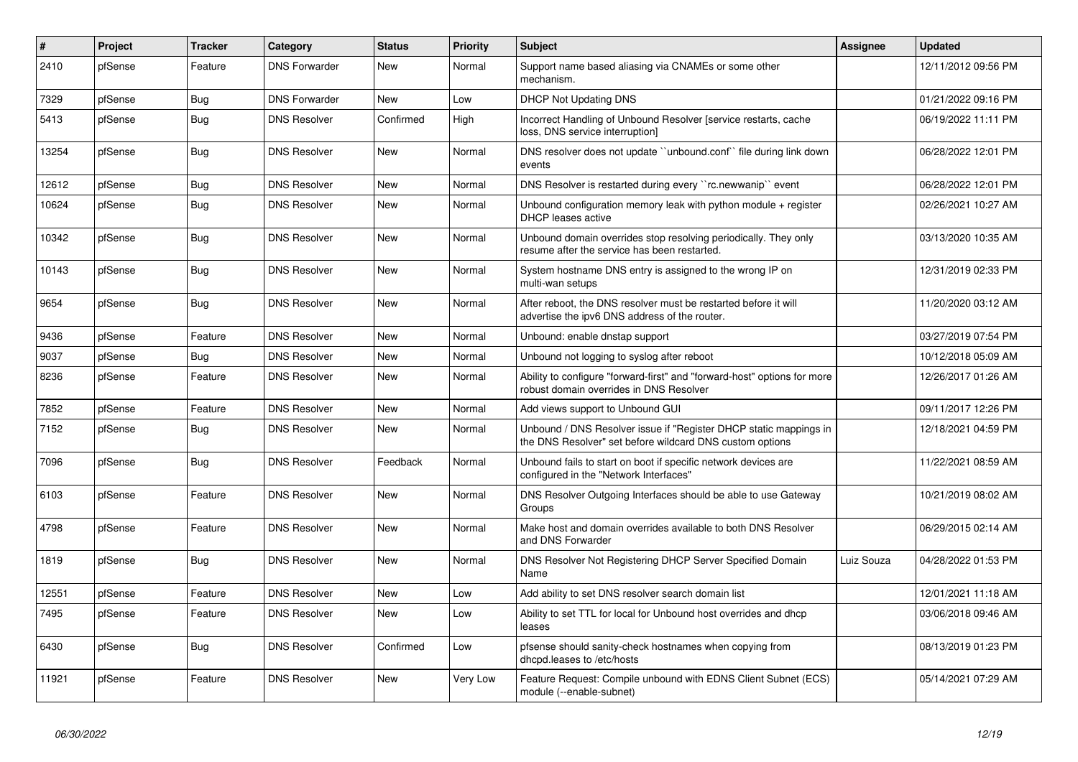| $\vert$ # | Project | <b>Tracker</b> | Category             | <b>Status</b> | <b>Priority</b> | Subject                                                                                                                       | Assignee   | <b>Updated</b>      |
|-----------|---------|----------------|----------------------|---------------|-----------------|-------------------------------------------------------------------------------------------------------------------------------|------------|---------------------|
| 2410      | pfSense | Feature        | <b>DNS Forwarder</b> | <b>New</b>    | Normal          | Support name based aliasing via CNAMEs or some other<br>mechanism.                                                            |            | 12/11/2012 09:56 PM |
| 7329      | pfSense | <b>Bug</b>     | <b>DNS Forwarder</b> | New           | Low             | <b>DHCP Not Updating DNS</b>                                                                                                  |            | 01/21/2022 09:16 PM |
| 5413      | pfSense | <b>Bug</b>     | <b>DNS Resolver</b>  | Confirmed     | High            | Incorrect Handling of Unbound Resolver [service restarts, cache<br>loss, DNS service interruption]                            |            | 06/19/2022 11:11 PM |
| 13254     | pfSense | Bug            | <b>DNS Resolver</b>  | New           | Normal          | DNS resolver does not update "unbound.conf" file during link down<br>events                                                   |            | 06/28/2022 12:01 PM |
| 12612     | pfSense | <b>Bug</b>     | <b>DNS Resolver</b>  | <b>New</b>    | Normal          | DNS Resolver is restarted during every "rc.newwanip" event                                                                    |            | 06/28/2022 12:01 PM |
| 10624     | pfSense | Bug            | <b>DNS Resolver</b>  | <b>New</b>    | Normal          | Unbound configuration memory leak with python module + register<br><b>DHCP</b> leases active                                  |            | 02/26/2021 10:27 AM |
| 10342     | pfSense | <b>Bug</b>     | <b>DNS Resolver</b>  | New           | Normal          | Unbound domain overrides stop resolving periodically. They only<br>resume after the service has been restarted.               |            | 03/13/2020 10:35 AM |
| 10143     | pfSense | <b>Bug</b>     | <b>DNS Resolver</b>  | <b>New</b>    | Normal          | System hostname DNS entry is assigned to the wrong IP on<br>multi-wan setups                                                  |            | 12/31/2019 02:33 PM |
| 9654      | pfSense | Bug            | <b>DNS Resolver</b>  | <b>New</b>    | Normal          | After reboot, the DNS resolver must be restarted before it will<br>advertise the ipv6 DNS address of the router.              |            | 11/20/2020 03:12 AM |
| 9436      | pfSense | Feature        | <b>DNS Resolver</b>  | <b>New</b>    | Normal          | Unbound: enable dnstap support                                                                                                |            | 03/27/2019 07:54 PM |
| 9037      | pfSense | Bug            | <b>DNS Resolver</b>  | <b>New</b>    | Normal          | Unbound not logging to syslog after reboot                                                                                    |            | 10/12/2018 05:09 AM |
| 8236      | pfSense | Feature        | <b>DNS Resolver</b>  | <b>New</b>    | Normal          | Ability to configure "forward-first" and "forward-host" options for more<br>robust domain overrides in DNS Resolver           |            | 12/26/2017 01:26 AM |
| 7852      | pfSense | Feature        | <b>DNS Resolver</b>  | <b>New</b>    | Normal          | Add views support to Unbound GUI                                                                                              |            | 09/11/2017 12:26 PM |
| 7152      | pfSense | <b>Bug</b>     | <b>DNS Resolver</b>  | <b>New</b>    | Normal          | Unbound / DNS Resolver issue if "Register DHCP static mappings in<br>the DNS Resolver" set before wildcard DNS custom options |            | 12/18/2021 04:59 PM |
| 7096      | pfSense | Bug            | <b>DNS Resolver</b>  | Feedback      | Normal          | Unbound fails to start on boot if specific network devices are<br>configured in the "Network Interfaces"                      |            | 11/22/2021 08:59 AM |
| 6103      | pfSense | Feature        | <b>DNS Resolver</b>  | <b>New</b>    | Normal          | DNS Resolver Outgoing Interfaces should be able to use Gateway<br>Groups                                                      |            | 10/21/2019 08:02 AM |
| 4798      | pfSense | Feature        | <b>DNS Resolver</b>  | <b>New</b>    | Normal          | Make host and domain overrides available to both DNS Resolver<br>and DNS Forwarder                                            |            | 06/29/2015 02:14 AM |
| 1819      | pfSense | <b>Bug</b>     | <b>DNS Resolver</b>  | <b>New</b>    | Normal          | DNS Resolver Not Registering DHCP Server Specified Domain<br>Name                                                             | Luiz Souza | 04/28/2022 01:53 PM |
| 12551     | pfSense | Feature        | <b>DNS Resolver</b>  | <b>New</b>    | Low             | Add ability to set DNS resolver search domain list                                                                            |            | 12/01/2021 11:18 AM |
| 7495      | pfSense | Feature        | <b>DNS Resolver</b>  | New           | Low             | Ability to set TTL for local for Unbound host overrides and dhcp<br>leases                                                    |            | 03/06/2018 09:46 AM |
| 6430      | pfSense | <b>Bug</b>     | <b>DNS Resolver</b>  | Confirmed     | Low             | pfsense should sanity-check hostnames when copying from<br>dhcpd.leases to /etc/hosts                                         |            | 08/13/2019 01:23 PM |
| 11921     | pfSense | Feature        | <b>DNS Resolver</b>  | <b>New</b>    | Very Low        | Feature Request: Compile unbound with EDNS Client Subnet (ECS)<br>module (--enable-subnet)                                    |            | 05/14/2021 07:29 AM |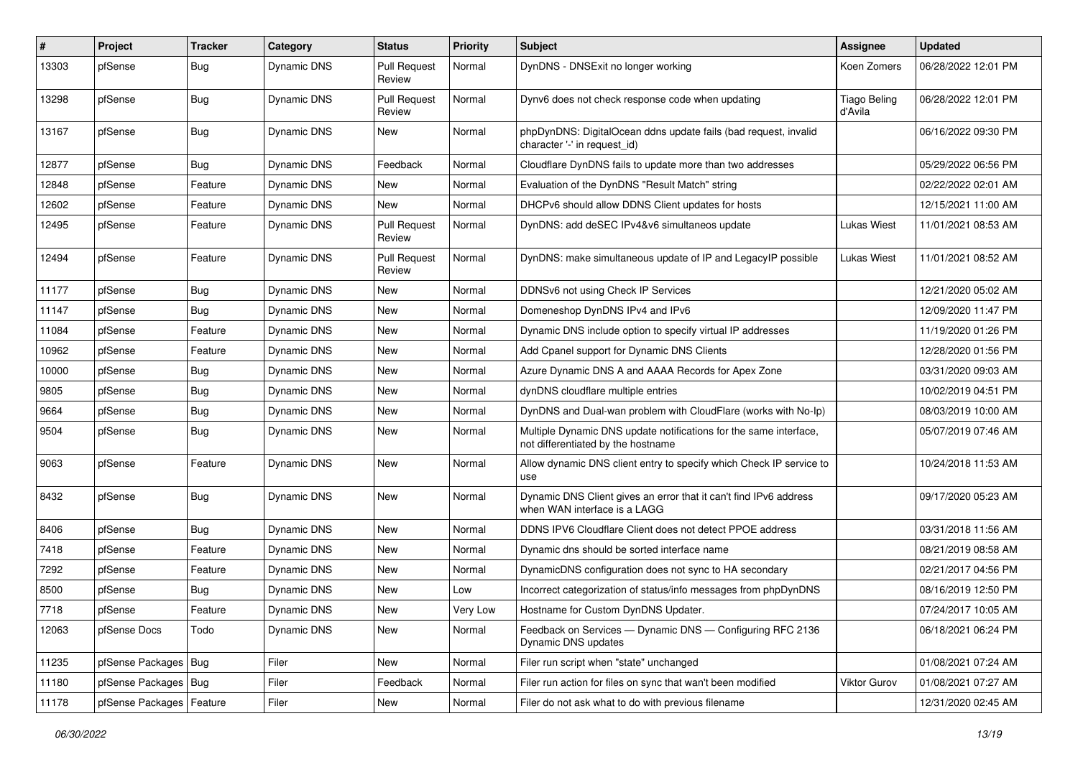| ∦     | Project                    | Tracker    | Category    | <b>Status</b>                 | <b>Priority</b> | Subject                                                                                                 | <b>Assignee</b>                | <b>Updated</b>      |
|-------|----------------------------|------------|-------------|-------------------------------|-----------------|---------------------------------------------------------------------------------------------------------|--------------------------------|---------------------|
| 13303 | pfSense                    | <b>Bug</b> | Dynamic DNS | <b>Pull Request</b><br>Review | Normal          | DynDNS - DNSExit no longer working                                                                      | Koen Zomers                    | 06/28/2022 12:01 PM |
| 13298 | pfSense                    | Bug        | Dynamic DNS | <b>Pull Request</b><br>Review | Normal          | Dynv6 does not check response code when updating                                                        | <b>Tiago Beling</b><br>d'Avila | 06/28/2022 12:01 PM |
| 13167 | pfSense                    | <b>Bug</b> | Dynamic DNS | New                           | Normal          | phpDynDNS: DigitalOcean ddns update fails (bad request, invalid<br>character '-' in request id)         |                                | 06/16/2022 09:30 PM |
| 12877 | pfSense                    | Bug        | Dynamic DNS | Feedback                      | Normal          | Cloudflare DynDNS fails to update more than two addresses                                               |                                | 05/29/2022 06:56 PM |
| 12848 | pfSense                    | Feature    | Dynamic DNS | <b>New</b>                    | Normal          | Evaluation of the DynDNS "Result Match" string                                                          |                                | 02/22/2022 02:01 AM |
| 12602 | pfSense                    | Feature    | Dynamic DNS | New                           | Normal          | DHCPv6 should allow DDNS Client updates for hosts                                                       |                                | 12/15/2021 11:00 AM |
| 12495 | pfSense                    | Feature    | Dynamic DNS | <b>Pull Request</b><br>Review | Normal          | DynDNS: add deSEC IPv4&v6 simultaneos update                                                            | Lukas Wiest                    | 11/01/2021 08:53 AM |
| 12494 | pfSense                    | Feature    | Dynamic DNS | <b>Pull Request</b><br>Review | Normal          | DynDNS: make simultaneous update of IP and LegacyIP possible                                            | <b>Lukas Wiest</b>             | 11/01/2021 08:52 AM |
| 11177 | pfSense                    | <b>Bug</b> | Dynamic DNS | New                           | Normal          | DDNSv6 not using Check IP Services                                                                      |                                | 12/21/2020 05:02 AM |
| 11147 | pfSense                    | Bug        | Dynamic DNS | New                           | Normal          | Domeneshop DynDNS IPv4 and IPv6                                                                         |                                | 12/09/2020 11:47 PM |
| 11084 | pfSense                    | Feature    | Dynamic DNS | <b>New</b>                    | Normal          | Dynamic DNS include option to specify virtual IP addresses                                              |                                | 11/19/2020 01:26 PM |
| 10962 | pfSense                    | Feature    | Dynamic DNS | New                           | Normal          | Add Cpanel support for Dynamic DNS Clients                                                              |                                | 12/28/2020 01:56 PM |
| 10000 | pfSense                    | <b>Bug</b> | Dynamic DNS | <b>New</b>                    | Normal          | Azure Dynamic DNS A and AAAA Records for Apex Zone                                                      |                                | 03/31/2020 09:03 AM |
| 9805  | pfSense                    | <b>Bug</b> | Dynamic DNS | New                           | Normal          | dynDNS cloudflare multiple entries                                                                      |                                | 10/02/2019 04:51 PM |
| 9664  | pfSense                    | <b>Bug</b> | Dynamic DNS | New                           | Normal          | DynDNS and Dual-wan problem with CloudFlare (works with No-Ip)                                          |                                | 08/03/2019 10:00 AM |
| 9504  | pfSense                    | <b>Bug</b> | Dynamic DNS | New                           | Normal          | Multiple Dynamic DNS update notifications for the same interface,<br>not differentiated by the hostname |                                | 05/07/2019 07:46 AM |
| 9063  | pfSense                    | Feature    | Dynamic DNS | New                           | Normal          | Allow dynamic DNS client entry to specify which Check IP service to<br>use                              |                                | 10/24/2018 11:53 AM |
| 8432  | pfSense                    | <b>Bug</b> | Dynamic DNS | New                           | Normal          | Dynamic DNS Client gives an error that it can't find IPv6 address<br>when WAN interface is a LAGG       |                                | 09/17/2020 05:23 AM |
| 8406  | pfSense                    | Bug        | Dynamic DNS | New                           | Normal          | DDNS IPV6 Cloudflare Client does not detect PPOE address                                                |                                | 03/31/2018 11:56 AM |
| 7418  | pfSense                    | Feature    | Dynamic DNS | New                           | Normal          | Dynamic dns should be sorted interface name                                                             |                                | 08/21/2019 08:58 AM |
| 7292  | pfSense                    | Feature    | Dynamic DNS | New                           | Normal          | DynamicDNS configuration does not sync to HA secondary                                                  |                                | 02/21/2017 04:56 PM |
| 8500  | pfSense                    | <b>Bug</b> | Dynamic DNS | New                           | Low             | Incorrect categorization of status/info messages from phpDynDNS                                         |                                | 08/16/2019 12:50 PM |
| 7718  | pfSense                    | Feature    | Dynamic DNS | New                           | Very Low        | Hostname for Custom DynDNS Updater.                                                                     |                                | 07/24/2017 10:05 AM |
| 12063 | pfSense Docs               | Todo       | Dynamic DNS | New                           | Normal          | Feedback on Services - Dynamic DNS - Configuring RFC 2136<br>Dynamic DNS updates                        |                                | 06/18/2021 06:24 PM |
| 11235 | pfSense Packages   Bug     |            | Filer       | New                           | Normal          | Filer run script when "state" unchanged                                                                 |                                | 01/08/2021 07:24 AM |
| 11180 | pfSense Packages   Bug     |            | Filer       | Feedback                      | Normal          | Filer run action for files on sync that wan't been modified                                             | Viktor Gurov                   | 01/08/2021 07:27 AM |
| 11178 | pfSense Packages   Feature |            | Filer       | New                           | Normal          | Filer do not ask what to do with previous filename                                                      |                                | 12/31/2020 02:45 AM |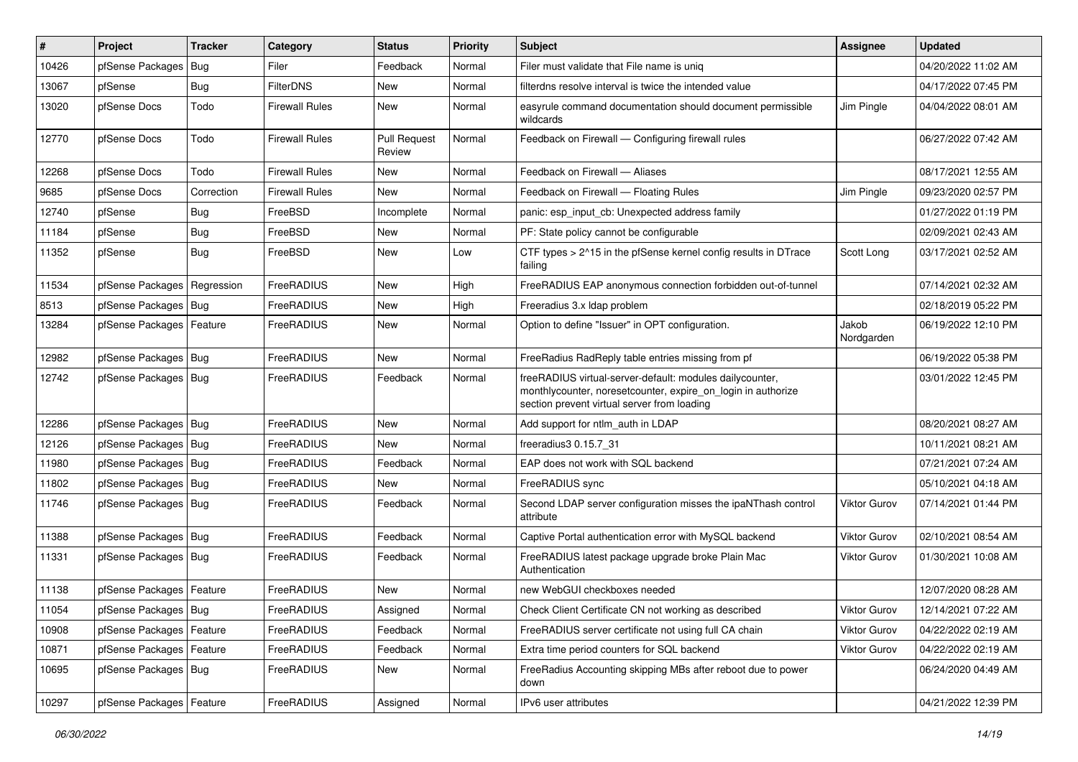| #     | Project                       | <b>Tracker</b> | Category              | <b>Status</b>                 | <b>Priority</b> | <b>Subject</b>                                                                                                                                                          | Assignee            | <b>Updated</b>      |
|-------|-------------------------------|----------------|-----------------------|-------------------------------|-----------------|-------------------------------------------------------------------------------------------------------------------------------------------------------------------------|---------------------|---------------------|
| 10426 | pfSense Packages              | <b>Bug</b>     | Filer                 | Feedback                      | Normal          | Filer must validate that File name is uniq                                                                                                                              |                     | 04/20/2022 11:02 AM |
| 13067 | pfSense                       | Bug            | <b>FilterDNS</b>      | New                           | Normal          | filterdns resolve interval is twice the intended value                                                                                                                  |                     | 04/17/2022 07:45 PM |
| 13020 | pfSense Docs                  | Todo           | Firewall Rules        | New                           | Normal          | easyrule command documentation should document permissible<br>wildcards                                                                                                 | Jim Pingle          | 04/04/2022 08:01 AM |
| 12770 | pfSense Docs                  | Todo           | <b>Firewall Rules</b> | <b>Pull Request</b><br>Review | Normal          | Feedback on Firewall - Configuring firewall rules                                                                                                                       |                     | 06/27/2022 07:42 AM |
| 12268 | pfSense Docs                  | Todo           | <b>Firewall Rules</b> | New                           | Normal          | Feedback on Firewall - Aliases                                                                                                                                          |                     | 08/17/2021 12:55 AM |
| 9685  | pfSense Docs                  | Correction     | <b>Firewall Rules</b> | <b>New</b>                    | Normal          | Feedback on Firewall - Floating Rules                                                                                                                                   | Jim Pingle          | 09/23/2020 02:57 PM |
| 12740 | pfSense                       | <b>Bug</b>     | FreeBSD               | Incomplete                    | Normal          | panic: esp input cb: Unexpected address family                                                                                                                          |                     | 01/27/2022 01:19 PM |
| 11184 | pfSense                       | <b>Bug</b>     | FreeBSD               | New                           | Normal          | PF: State policy cannot be configurable                                                                                                                                 |                     | 02/09/2021 02:43 AM |
| 11352 | pfSense                       | <b>Bug</b>     | FreeBSD               | New                           | Low             | CTF types > 2^15 in the pfSense kernel config results in DTrace<br>failing                                                                                              | Scott Long          | 03/17/2021 02:52 AM |
| 11534 | pfSense Packages   Regression |                | FreeRADIUS            | New                           | High            | FreeRADIUS EAP anonymous connection forbidden out-of-tunnel                                                                                                             |                     | 07/14/2021 02:32 AM |
| 8513  | pfSense Packages   Bug        |                | FreeRADIUS            | New                           | High            | Freeradius 3.x Idap problem                                                                                                                                             |                     | 02/18/2019 05:22 PM |
| 13284 | pfSense Packages   Feature    |                | FreeRADIUS            | New                           | Normal          | Option to define "Issuer" in OPT configuration.                                                                                                                         | Jakob<br>Nordgarden | 06/19/2022 12:10 PM |
| 12982 | pfSense Packages   Bug        |                | FreeRADIUS            | <b>New</b>                    | Normal          | FreeRadius RadReply table entries missing from pf                                                                                                                       |                     | 06/19/2022 05:38 PM |
| 12742 | pfSense Packages   Bug        |                | FreeRADIUS            | Feedback                      | Normal          | freeRADIUS virtual-server-default: modules dailycounter,<br>monthlycounter, noresetcounter, expire_on_login in authorize<br>section prevent virtual server from loading |                     | 03/01/2022 12:45 PM |
| 12286 | pfSense Packages   Bug        |                | FreeRADIUS            | <b>New</b>                    | Normal          | Add support for ntlm auth in LDAP                                                                                                                                       |                     | 08/20/2021 08:27 AM |
| 12126 | pfSense Packages   Bug        |                | FreeRADIUS            | New                           | Normal          | freeradius3 0.15.7 31                                                                                                                                                   |                     | 10/11/2021 08:21 AM |
| 11980 | pfSense Packages   Bug        |                | FreeRADIUS            | Feedback                      | Normal          | EAP does not work with SQL backend                                                                                                                                      |                     | 07/21/2021 07:24 AM |
| 11802 | pfSense Packages   Bug        |                | FreeRADIUS            | <b>New</b>                    | Normal          | FreeRADIUS sync                                                                                                                                                         |                     | 05/10/2021 04:18 AM |
| 11746 | pfSense Packages   Bug        |                | FreeRADIUS            | Feedback                      | Normal          | Second LDAP server configuration misses the ipaNThash control<br>attribute                                                                                              | Viktor Gurov        | 07/14/2021 01:44 PM |
| 11388 | pfSense Packages   Bug        |                | FreeRADIUS            | Feedback                      | Normal          | Captive Portal authentication error with MySQL backend                                                                                                                  | <b>Viktor Gurov</b> | 02/10/2021 08:54 AM |
| 11331 | pfSense Packages   Bug        |                | FreeRADIUS            | Feedback                      | Normal          | FreeRADIUS latest package upgrade broke Plain Mac<br>Authentication                                                                                                     | <b>Viktor Gurov</b> | 01/30/2021 10:08 AM |
| 11138 | pfSense Packages   Feature    |                | FreeRADIUS            | New                           | Normal          | new WebGUI checkboxes needed                                                                                                                                            |                     | 12/07/2020 08:28 AM |
| 11054 | pfSense Packages   Bug        |                | FreeRADIUS            | Assigned                      | Normal          | Check Client Certificate CN not working as described                                                                                                                    | Viktor Gurov        | 12/14/2021 07:22 AM |
| 10908 | pfSense Packages              | Feature        | FreeRADIUS            | Feedback                      | Normal          | FreeRADIUS server certificate not using full CA chain                                                                                                                   | Viktor Gurov        | 04/22/2022 02:19 AM |
| 10871 | pfSense Packages   Feature    |                | FreeRADIUS            | Feedback                      | Normal          | Extra time period counters for SQL backend                                                                                                                              | Viktor Gurov        | 04/22/2022 02:19 AM |
| 10695 | pfSense Packages   Bug        |                | FreeRADIUS            | New                           | Normal          | FreeRadius Accounting skipping MBs after reboot due to power<br>down                                                                                                    |                     | 06/24/2020 04:49 AM |
| 10297 | pfSense Packages   Feature    |                | FreeRADIUS            | Assigned                      | Normal          | IPv6 user attributes                                                                                                                                                    |                     | 04/21/2022 12:39 PM |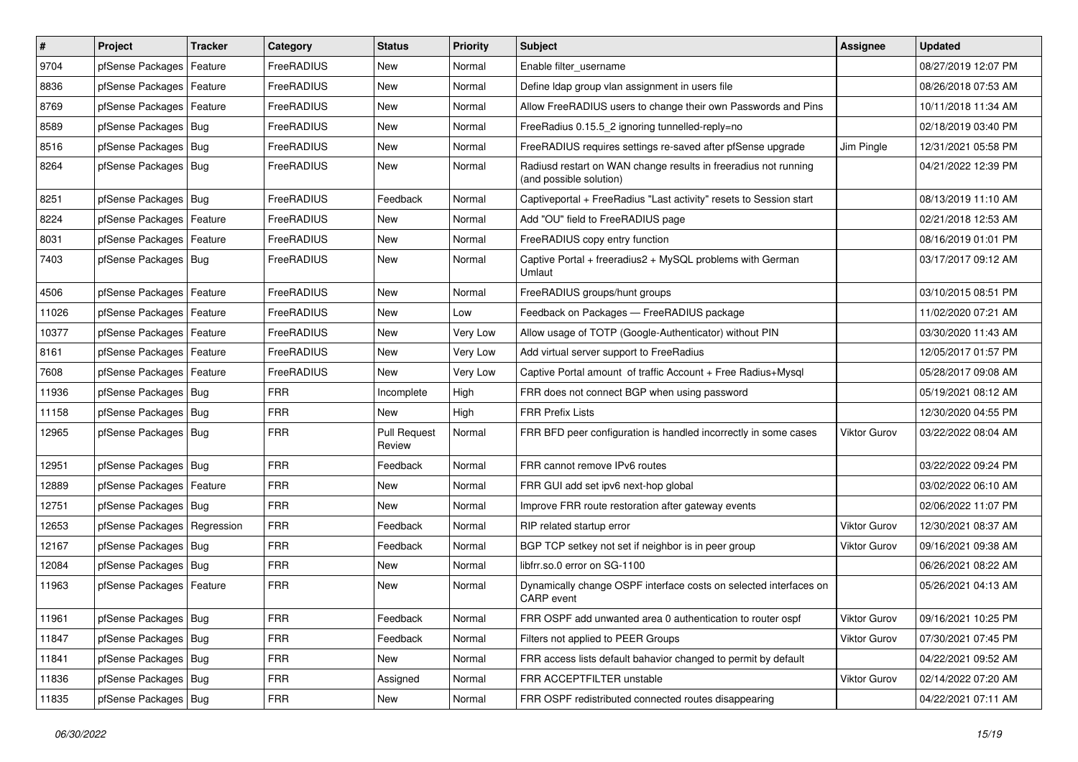| $\vert$ # | Project                    | <b>Tracker</b> | Category          | <b>Status</b>                 | <b>Priority</b> | Subject                                                                                    | Assignee            | <b>Updated</b>      |
|-----------|----------------------------|----------------|-------------------|-------------------------------|-----------------|--------------------------------------------------------------------------------------------|---------------------|---------------------|
| 9704      | pfSense Packages           | Feature        | FreeRADIUS        | New                           | Normal          | Enable filter username                                                                     |                     | 08/27/2019 12:07 PM |
| 8836      | pfSense Packages   Feature |                | FreeRADIUS        | New                           | Normal          | Define Idap group vlan assignment in users file                                            |                     | 08/26/2018 07:53 AM |
| 8769      | pfSense Packages   Feature |                | FreeRADIUS        | New                           | Normal          | Allow FreeRADIUS users to change their own Passwords and Pins                              |                     | 10/11/2018 11:34 AM |
| 8589      | pfSense Packages   Bug     |                | FreeRADIUS        | <b>New</b>                    | Normal          | FreeRadius 0.15.5 2 ignoring tunnelled-reply=no                                            |                     | 02/18/2019 03:40 PM |
| 8516      | pfSense Packages   Bug     |                | FreeRADIUS        | <b>New</b>                    | Normal          | FreeRADIUS requires settings re-saved after pfSense upgrade                                | Jim Pingle          | 12/31/2021 05:58 PM |
| 8264      | pfSense Packages   Bug     |                | FreeRADIUS        | New                           | Normal          | Radiusd restart on WAN change results in freeradius not running<br>(and possible solution) |                     | 04/21/2022 12:39 PM |
| 8251      | pfSense Packages   Bug     |                | FreeRADIUS        | Feedback                      | Normal          | Captiveportal + FreeRadius "Last activity" resets to Session start                         |                     | 08/13/2019 11:10 AM |
| 8224      | pfSense Packages   Feature |                | FreeRADIUS        | New                           | Normal          | Add "OU" field to FreeRADIUS page                                                          |                     | 02/21/2018 12:53 AM |
| 8031      | pfSense Packages   Feature |                | FreeRADIUS        | New                           | Normal          | FreeRADIUS copy entry function                                                             |                     | 08/16/2019 01:01 PM |
| 7403      | pfSense Packages   Bug     |                | FreeRADIUS        | New                           | Normal          | Captive Portal + freeradius2 + MySQL problems with German<br>Umlaut                        |                     | 03/17/2017 09:12 AM |
| 4506      | pfSense Packages   Feature |                | FreeRADIUS        | <b>New</b>                    | Normal          | FreeRADIUS groups/hunt groups                                                              |                     | 03/10/2015 08:51 PM |
| 11026     | pfSense Packages   Feature |                | FreeRADIUS        | New                           | Low             | Feedback on Packages - FreeRADIUS package                                                  |                     | 11/02/2020 07:21 AM |
| 10377     | pfSense Packages   Feature |                | FreeRADIUS        | New                           | Very Low        | Allow usage of TOTP (Google-Authenticator) without PIN                                     |                     | 03/30/2020 11:43 AM |
| 8161      | pfSense Packages   Feature |                | <b>FreeRADIUS</b> | New                           | Very Low        | Add virtual server support to FreeRadius                                                   |                     | 12/05/2017 01:57 PM |
| 7608      | pfSense Packages   Feature |                | FreeRADIUS        | New                           | Very Low        | Captive Portal amount of traffic Account + Free Radius+Mysql                               |                     | 05/28/2017 09:08 AM |
| 11936     | pfSense Packages   Bug     |                | <b>FRR</b>        | Incomplete                    | High            | FRR does not connect BGP when using password                                               |                     | 05/19/2021 08:12 AM |
| 11158     | pfSense Packages   Bug     |                | <b>FRR</b>        | New                           | High            | <b>FRR Prefix Lists</b>                                                                    |                     | 12/30/2020 04:55 PM |
| 12965     | pfSense Packages   Bug     |                | <b>FRR</b>        | <b>Pull Request</b><br>Review | Normal          | FRR BFD peer configuration is handled incorrectly in some cases                            | <b>Viktor Gurov</b> | 03/22/2022 08:04 AM |
| 12951     | pfSense Packages   Bug     |                | <b>FRR</b>        | Feedback                      | Normal          | FRR cannot remove IPv6 routes                                                              |                     | 03/22/2022 09:24 PM |
| 12889     | pfSense Packages   Feature |                | <b>FRR</b>        | New                           | Normal          | FRR GUI add set ipv6 next-hop global                                                       |                     | 03/02/2022 06:10 AM |
| 12751     | pfSense Packages   Bug     |                | <b>FRR</b>        | New                           | Normal          | Improve FRR route restoration after gateway events                                         |                     | 02/06/2022 11:07 PM |
| 12653     | pfSense Packages           | Regression     | <b>FRR</b>        | Feedback                      | Normal          | RIP related startup error                                                                  | <b>Viktor Gurov</b> | 12/30/2021 08:37 AM |
| 12167     | pfSense Packages   Bug     |                | <b>FRR</b>        | Feedback                      | Normal          | BGP TCP setkey not set if neighbor is in peer group                                        | Viktor Gurov        | 09/16/2021 09:38 AM |
| 12084     | pfSense Packages   Bug     |                | <b>FRR</b>        | New                           | Normal          | libfrr.so.0 error on SG-1100                                                               |                     | 06/26/2021 08:22 AM |
| 11963     | pfSense Packages   Feature |                | <b>FRR</b>        | New                           | Normal          | Dynamically change OSPF interface costs on selected interfaces on<br>CARP event            |                     | 05/26/2021 04:13 AM |
| 11961     | pfSense Packages   Bug     |                | <b>FRR</b>        | Feedback                      | Normal          | FRR OSPF add unwanted area 0 authentication to router ospf                                 | Viktor Gurov        | 09/16/2021 10:25 PM |
| 11847     | pfSense Packages   Bug     |                | <b>FRR</b>        | Feedback                      | Normal          | Filters not applied to PEER Groups                                                         | Viktor Gurov        | 07/30/2021 07:45 PM |
| 11841     | pfSense Packages   Bug     |                | <b>FRR</b>        | New                           | Normal          | FRR access lists default bahavior changed to permit by default                             |                     | 04/22/2021 09:52 AM |
| 11836     | pfSense Packages   Bug     |                | <b>FRR</b>        | Assigned                      | Normal          | FRR ACCEPTFILTER unstable                                                                  | Viktor Gurov        | 02/14/2022 07:20 AM |
| 11835     | pfSense Packages   Bug     |                | <b>FRR</b>        | New                           | Normal          | FRR OSPF redistributed connected routes disappearing                                       |                     | 04/22/2021 07:11 AM |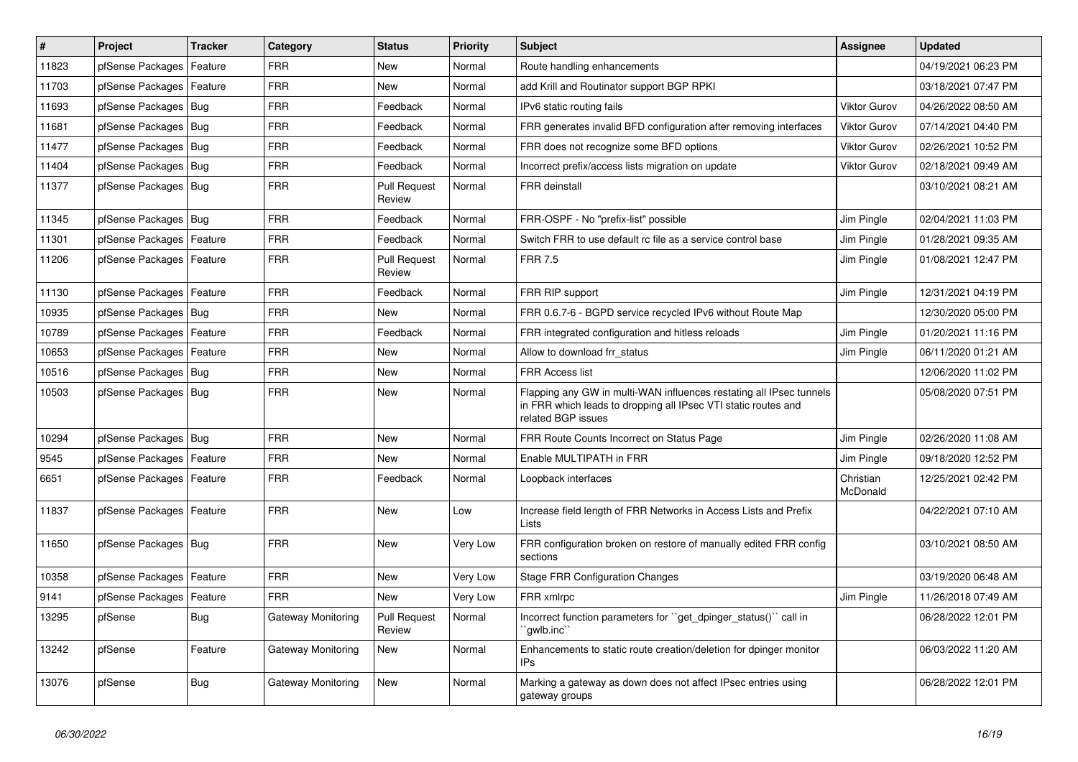| $\vert$ # | Project                    | <b>Tracker</b> | Category           | <b>Status</b>                 | <b>Priority</b> | <b>Subject</b>                                                                                                                                              | Assignee              | <b>Updated</b>      |
|-----------|----------------------------|----------------|--------------------|-------------------------------|-----------------|-------------------------------------------------------------------------------------------------------------------------------------------------------------|-----------------------|---------------------|
| 11823     | pfSense Packages           | Feature        | <b>FRR</b>         | <b>New</b>                    | Normal          | Route handling enhancements                                                                                                                                 |                       | 04/19/2021 06:23 PM |
| 11703     | pfSense Packages           | Feature        | <b>FRR</b>         | <b>New</b>                    | Normal          | add Krill and Routinator support BGP RPKI                                                                                                                   |                       | 03/18/2021 07:47 PM |
| 11693     | pfSense Packages   Bug     |                | <b>FRR</b>         | Feedback                      | Normal          | IPv6 static routing fails                                                                                                                                   | <b>Viktor Gurov</b>   | 04/26/2022 08:50 AM |
| 11681     | pfSense Packages           | Bug            | <b>FRR</b>         | Feedback                      | Normal          | FRR generates invalid BFD configuration after removing interfaces                                                                                           | <b>Viktor Gurov</b>   | 07/14/2021 04:40 PM |
| 11477     | pfSense Packages           | Bug            | <b>FRR</b>         | Feedback                      | Normal          | FRR does not recognize some BFD options                                                                                                                     | <b>Viktor Gurov</b>   | 02/26/2021 10:52 PM |
| 11404     | pfSense Packages   Bug     |                | <b>FRR</b>         | Feedback                      | Normal          | Incorrect prefix/access lists migration on update                                                                                                           | <b>Viktor Gurov</b>   | 02/18/2021 09:49 AM |
| 11377     | pfSense Packages   Bug     |                | <b>FRR</b>         | <b>Pull Request</b><br>Review | Normal          | <b>FRR</b> deinstall                                                                                                                                        |                       | 03/10/2021 08:21 AM |
| 11345     | pfSense Packages   Bug     |                | <b>FRR</b>         | Feedback                      | Normal          | FRR-OSPF - No "prefix-list" possible                                                                                                                        | Jim Pingle            | 02/04/2021 11:03 PM |
| 11301     | pfSense Packages   Feature |                | <b>FRR</b>         | Feedback                      | Normal          | Switch FRR to use default rc file as a service control base                                                                                                 | Jim Pingle            | 01/28/2021 09:35 AM |
| 11206     | pfSense Packages   Feature |                | FRR                | <b>Pull Request</b><br>Review | Normal          | <b>FRR 7.5</b>                                                                                                                                              | Jim Pingle            | 01/08/2021 12:47 PM |
| 11130     | pfSense Packages   Feature |                | <b>FRR</b>         | Feedback                      | Normal          | FRR RIP support                                                                                                                                             | Jim Pingle            | 12/31/2021 04:19 PM |
| 10935     | pfSense Packages   Bug     |                | <b>FRR</b>         | <b>New</b>                    | Normal          | FRR 0.6.7-6 - BGPD service recycled IPv6 without Route Map                                                                                                  |                       | 12/30/2020 05:00 PM |
| 10789     | pfSense Packages           | Feature        | <b>FRR</b>         | Feedback                      | Normal          | FRR integrated configuration and hitless reloads                                                                                                            | Jim Pingle            | 01/20/2021 11:16 PM |
| 10653     | pfSense Packages           | Feature        | <b>FRR</b>         | <b>New</b>                    | Normal          | Allow to download frr status                                                                                                                                | Jim Pingle            | 06/11/2020 01:21 AM |
| 10516     | pfSense Packages           | Bug            | <b>FRR</b>         | <b>New</b>                    | Normal          | <b>FRR Access list</b>                                                                                                                                      |                       | 12/06/2020 11:02 PM |
| 10503     | pfSense Packages   Bug     |                | <b>FRR</b>         | <b>New</b>                    | Normal          | Flapping any GW in multi-WAN influences restating all IPsec tunnels<br>in FRR which leads to dropping all IPsec VTI static routes and<br>related BGP issues |                       | 05/08/2020 07:51 PM |
| 10294     | pfSense Packages   Bug     |                | <b>FRR</b>         | <b>New</b>                    | Normal          | FRR Route Counts Incorrect on Status Page                                                                                                                   | Jim Pingle            | 02/26/2020 11:08 AM |
| 9545      | pfSense Packages   Feature |                | <b>FRR</b>         | <b>New</b>                    | Normal          | Enable MULTIPATH in FRR                                                                                                                                     | Jim Pingle            | 09/18/2020 12:52 PM |
| 6651      | pfSense Packages   Feature |                | <b>FRR</b>         | Feedback                      | Normal          | Loopback interfaces                                                                                                                                         | Christian<br>McDonald | 12/25/2021 02:42 PM |
| 11837     | pfSense Packages   Feature |                | FRR                | New                           | Low             | Increase field length of FRR Networks in Access Lists and Prefix<br>Lists                                                                                   |                       | 04/22/2021 07:10 AM |
| 11650     | pfSense Packages   Bug     |                | <b>FRR</b>         | New                           | Very Low        | FRR configuration broken on restore of manually edited FRR config<br>sections                                                                               |                       | 03/10/2021 08:50 AM |
| 10358     | pfSense Packages           | Feature        | <b>FRR</b>         | <b>New</b>                    | <b>Very Low</b> | <b>Stage FRR Configuration Changes</b>                                                                                                                      |                       | 03/19/2020 06:48 AM |
| 9141      | pfSense Packages           | Feature        | <b>FRR</b>         | New                           | Very Low        | FRR xmlrpc                                                                                                                                                  | Jim Pingle            | 11/26/2018 07:49 AM |
| 13295     | pfSense                    | Bug            | Gateway Monitoring | <b>Pull Request</b><br>Review | Normal          | Incorrect function parameters for "get dpinger status()" call in<br>`qwlb.inc``                                                                             |                       | 06/28/2022 12:01 PM |
| 13242     | pfSense                    | Feature        | Gateway Monitoring | New                           | Normal          | Enhancements to static route creation/deletion for dpinger monitor<br>IP <sub>s</sub>                                                                       |                       | 06/03/2022 11:20 AM |
| 13076     | pfSense                    | <b>Bug</b>     | Gateway Monitoring | New                           | Normal          | Marking a gateway as down does not affect IPsec entries using<br>gateway groups                                                                             |                       | 06/28/2022 12:01 PM |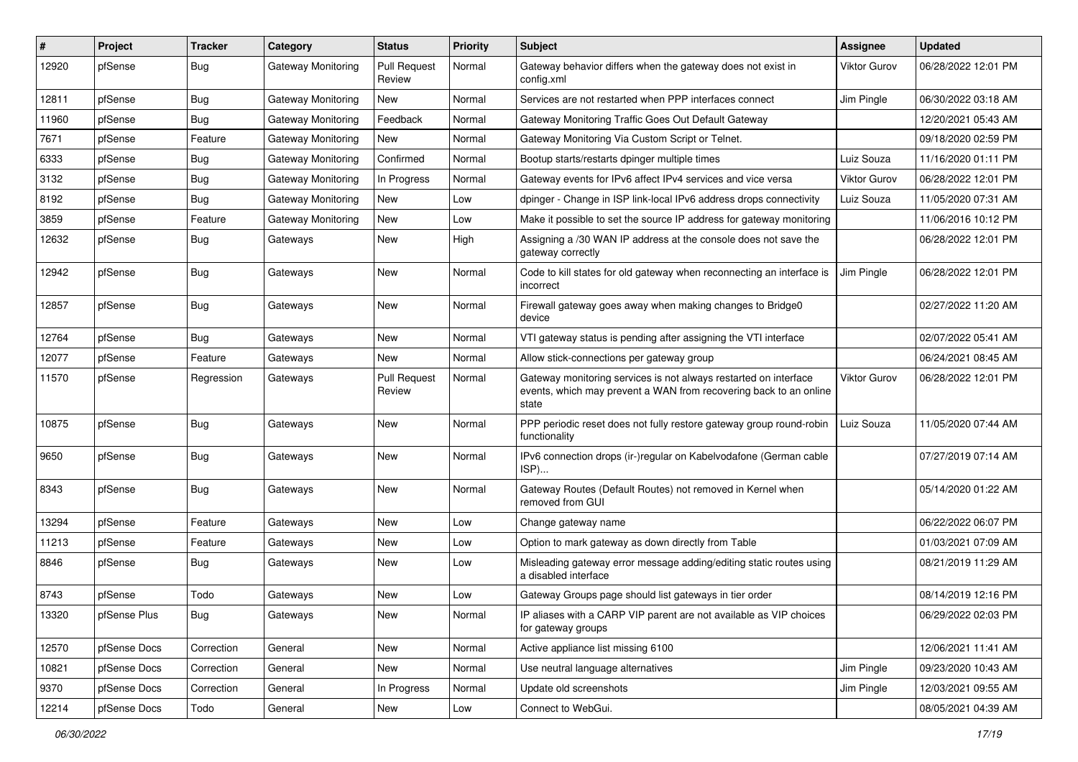| $\sharp$ | Project      | <b>Tracker</b> | Category                  | <b>Status</b>                 | <b>Priority</b> | Subject                                                                                                                                        | <b>Assignee</b>     | <b>Updated</b>      |
|----------|--------------|----------------|---------------------------|-------------------------------|-----------------|------------------------------------------------------------------------------------------------------------------------------------------------|---------------------|---------------------|
| 12920    | pfSense      | <b>Bug</b>     | Gateway Monitoring        | <b>Pull Request</b><br>Review | Normal          | Gateway behavior differs when the gateway does not exist in<br>config.xml                                                                      | Viktor Gurov        | 06/28/2022 12:01 PM |
| 12811    | pfSense      | <b>Bug</b>     | Gateway Monitoring        | New                           | Normal          | Services are not restarted when PPP interfaces connect                                                                                         | Jim Pingle          | 06/30/2022 03:18 AM |
| 11960    | pfSense      | <b>Bug</b>     | <b>Gateway Monitoring</b> | Feedback                      | Normal          | Gateway Monitoring Traffic Goes Out Default Gateway                                                                                            |                     | 12/20/2021 05:43 AM |
| 7671     | pfSense      | Feature        | Gateway Monitoring        | New                           | Normal          | Gateway Monitoring Via Custom Script or Telnet.                                                                                                |                     | 09/18/2020 02:59 PM |
| 6333     | pfSense      | <b>Bug</b>     | Gateway Monitoring        | Confirmed                     | Normal          | Bootup starts/restarts dpinger multiple times                                                                                                  | Luiz Souza          | 11/16/2020 01:11 PM |
| 3132     | pfSense      | Bug            | Gateway Monitoring        | In Progress                   | Normal          | Gateway events for IPv6 affect IPv4 services and vice versa                                                                                    | Viktor Gurov        | 06/28/2022 12:01 PM |
| 8192     | pfSense      | <b>Bug</b>     | Gateway Monitoring        | New                           | Low             | dpinger - Change in ISP link-local IPv6 address drops connectivity                                                                             | Luiz Souza          | 11/05/2020 07:31 AM |
| 3859     | pfSense      | Feature        | <b>Gateway Monitoring</b> | New                           | Low             | Make it possible to set the source IP address for gateway monitoring                                                                           |                     | 11/06/2016 10:12 PM |
| 12632    | pfSense      | <b>Bug</b>     | Gateways                  | New                           | High            | Assigning a /30 WAN IP address at the console does not save the<br>gateway correctly                                                           |                     | 06/28/2022 12:01 PM |
| 12942    | pfSense      | Bug            | Gateways                  | New                           | Normal          | Code to kill states for old gateway when reconnecting an interface is<br>incorrect                                                             | Jim Pingle          | 06/28/2022 12:01 PM |
| 12857    | pfSense      | <b>Bug</b>     | Gateways                  | New                           | Normal          | Firewall gateway goes away when making changes to Bridge0<br>device                                                                            |                     | 02/27/2022 11:20 AM |
| 12764    | pfSense      | <b>Bug</b>     | Gateways                  | New                           | Normal          | VTI gateway status is pending after assigning the VTI interface                                                                                |                     | 02/07/2022 05:41 AM |
| 12077    | pfSense      | Feature        | Gateways                  | New                           | Normal          | Allow stick-connections per gateway group                                                                                                      |                     | 06/24/2021 08:45 AM |
| 11570    | pfSense      | Regression     | Gateways                  | <b>Pull Request</b><br>Review | Normal          | Gateway monitoring services is not always restarted on interface<br>events, which may prevent a WAN from recovering back to an online<br>state | <b>Viktor Gurov</b> | 06/28/2022 12:01 PM |
| 10875    | pfSense      | Bug            | Gateways                  | New                           | Normal          | PPP periodic reset does not fully restore gateway group round-robin<br>functionality                                                           | Luiz Souza          | 11/05/2020 07:44 AM |
| 9650     | pfSense      | Bug            | Gateways                  | New                           | Normal          | IPv6 connection drops (ir-)regular on Kabelvodafone (German cable<br>ISP)                                                                      |                     | 07/27/2019 07:14 AM |
| 8343     | pfSense      | Bug            | Gateways                  | New                           | Normal          | Gateway Routes (Default Routes) not removed in Kernel when<br>removed from GUI                                                                 |                     | 05/14/2020 01:22 AM |
| 13294    | pfSense      | Feature        | Gateways                  | New                           | Low             | Change gateway name                                                                                                                            |                     | 06/22/2022 06:07 PM |
| 11213    | pfSense      | Feature        | Gateways                  | New                           | Low             | Option to mark gateway as down directly from Table                                                                                             |                     | 01/03/2021 07:09 AM |
| 8846     | pfSense      | <b>Bug</b>     | Gateways                  | New                           | Low             | Misleading gateway error message adding/editing static routes using<br>a disabled interface                                                    |                     | 08/21/2019 11:29 AM |
| 8743     | pfSense      | Todo           | Gateways                  | New                           | Low             | Gateway Groups page should list gateways in tier order                                                                                         |                     | 08/14/2019 12:16 PM |
| 13320    | pfSense Plus | <b>Bug</b>     | Gateways                  | New                           | Normal          | IP aliases with a CARP VIP parent are not available as VIP choices<br>for gateway groups                                                       |                     | 06/29/2022 02:03 PM |
| 12570    | pfSense Docs | Correction     | General                   | New                           | Normal          | Active appliance list missing 6100                                                                                                             |                     | 12/06/2021 11:41 AM |
| 10821    | pfSense Docs | Correction     | General                   | New                           | Normal          | Use neutral language alternatives                                                                                                              | Jim Pingle          | 09/23/2020 10:43 AM |
| 9370     | pfSense Docs | Correction     | General                   | In Progress                   | Normal          | Update old screenshots                                                                                                                         | Jim Pingle          | 12/03/2021 09:55 AM |
| 12214    | pfSense Docs | Todo           | General                   | New                           | Low             | Connect to WebGui.                                                                                                                             |                     | 08/05/2021 04:39 AM |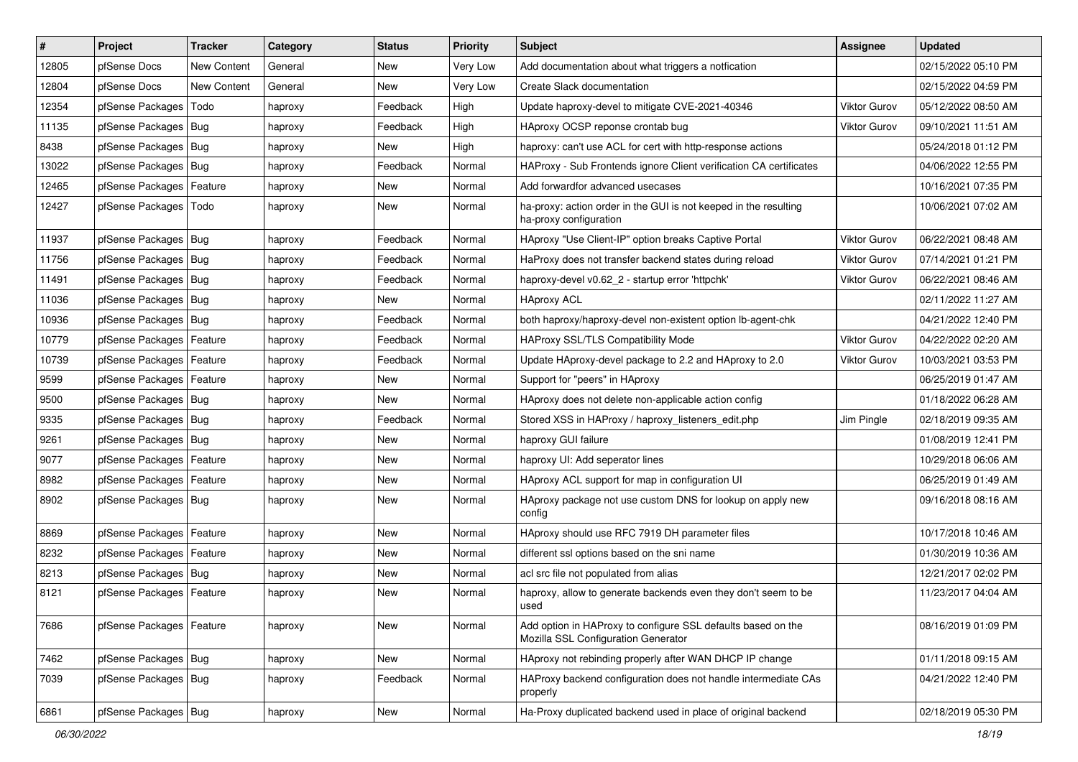| $\vert$ # | Project                    | <b>Tracker</b>     | Category | <b>Status</b> | <b>Priority</b> | <b>Subject</b>                                                                                      | <b>Assignee</b>     | <b>Updated</b>      |
|-----------|----------------------------|--------------------|----------|---------------|-----------------|-----------------------------------------------------------------------------------------------------|---------------------|---------------------|
| 12805     | pfSense Docs               | <b>New Content</b> | General  | New           | Very Low        | Add documentation about what triggers a notfication                                                 |                     | 02/15/2022 05:10 PM |
| 12804     | pfSense Docs               | <b>New Content</b> | General  | New           | Very Low        | Create Slack documentation                                                                          |                     | 02/15/2022 04:59 PM |
| 12354     | pfSense Packages           | Todo               | haproxy  | Feedback      | High            | Update haproxy-devel to mitigate CVE-2021-40346                                                     | Viktor Gurov        | 05/12/2022 08:50 AM |
| 11135     | pfSense Packages   Bug     |                    | haproxy  | Feedback      | High            | HAproxy OCSP reponse crontab bug                                                                    | <b>Viktor Gurov</b> | 09/10/2021 11:51 AM |
| 8438      | pfSense Packages   Bug     |                    | haproxy  | New           | High            | haproxy: can't use ACL for cert with http-response actions                                          |                     | 05/24/2018 01:12 PM |
| 13022     | pfSense Packages   Bug     |                    | haproxy  | Feedback      | Normal          | HAProxy - Sub Frontends ignore Client verification CA certificates                                  |                     | 04/06/2022 12:55 PM |
| 12465     | pfSense Packages   Feature |                    | haproxy  | New           | Normal          | Add forwardfor advanced usecases                                                                    |                     | 10/16/2021 07:35 PM |
| 12427     | pfSense Packages           | Todo               | haproxy  | New           | Normal          | ha-proxy: action order in the GUI is not keeped in the resulting<br>ha-proxy configuration          |                     | 10/06/2021 07:02 AM |
| 11937     | pfSense Packages   Bug     |                    | haproxy  | Feedback      | Normal          | HAproxy "Use Client-IP" option breaks Captive Portal                                                | <b>Viktor Gurov</b> | 06/22/2021 08:48 AM |
| 11756     | pfSense Packages   Bug     |                    | haproxy  | Feedback      | Normal          | HaProxy does not transfer backend states during reload                                              | Viktor Gurov        | 07/14/2021 01:21 PM |
| 11491     | pfSense Packages   Bug     |                    | haproxy  | Feedback      | Normal          | haproxy-devel v0.62 2 - startup error 'httpchk'                                                     | <b>Viktor Gurov</b> | 06/22/2021 08:46 AM |
| 11036     | pfSense Packages   Bug     |                    | haproxy  | New           | Normal          | <b>HAproxy ACL</b>                                                                                  |                     | 02/11/2022 11:27 AM |
| 10936     | pfSense Packages   Bug     |                    | haproxy  | Feedback      | Normal          | both haproxy/haproxy-devel non-existent option lb-agent-chk                                         |                     | 04/21/2022 12:40 PM |
| 10779     | pfSense Packages   Feature |                    | haproxy  | Feedback      | Normal          | HAProxy SSL/TLS Compatibility Mode                                                                  | <b>Viktor Gurov</b> | 04/22/2022 02:20 AM |
| 10739     | pfSense Packages   Feature |                    | haproxy  | Feedback      | Normal          | Update HAproxy-devel package to 2.2 and HAproxy to 2.0                                              | Viktor Gurov        | 10/03/2021 03:53 PM |
| 9599      | pfSense Packages   Feature |                    | haproxy  | New           | Normal          | Support for "peers" in HAproxy                                                                      |                     | 06/25/2019 01:47 AM |
| 9500      | pfSense Packages   Bug     |                    | haproxy  | New           | Normal          | HAproxy does not delete non-applicable action config                                                |                     | 01/18/2022 06:28 AM |
| 9335      | pfSense Packages   Bug     |                    | haproxy  | Feedback      | Normal          | Stored XSS in HAProxy / haproxy_listeners_edit.php                                                  | Jim Pingle          | 02/18/2019 09:35 AM |
| 9261      | pfSense Packages   Bug     |                    | haproxy  | New           | Normal          | haproxy GUI failure                                                                                 |                     | 01/08/2019 12:41 PM |
| 9077      | pfSense Packages   Feature |                    | haproxy  | New           | Normal          | haproxy UI: Add seperator lines                                                                     |                     | 10/29/2018 06:06 AM |
| 8982      | pfSense Packages   Feature |                    | haproxy  | <b>New</b>    | Normal          | HAproxy ACL support for map in configuration UI                                                     |                     | 06/25/2019 01:49 AM |
| 8902      | pfSense Packages   Bug     |                    | haproxy  | New           | Normal          | HAproxy package not use custom DNS for lookup on apply new<br>config                                |                     | 09/16/2018 08:16 AM |
| 8869      | pfSense Packages   Feature |                    | haproxy  | New           | Normal          | HAproxy should use RFC 7919 DH parameter files                                                      |                     | 10/17/2018 10:46 AM |
| 8232      | pfSense Packages   Feature |                    | haproxy  | New           | Normal          | different ssl options based on the sni name                                                         |                     | 01/30/2019 10:36 AM |
| 8213      | pfSense Packages   Bug     |                    | haproxy  | New           | Normal          | acl src file not populated from alias                                                               |                     | 12/21/2017 02:02 PM |
| 8121      | pfSense Packages   Feature |                    | haproxy  | New           | Normal          | haproxy, allow to generate backends even they don't seem to be<br>used                              |                     | 11/23/2017 04:04 AM |
| 7686      | pfSense Packages   Feature |                    | haproxy  | New           | Normal          | Add option in HAProxy to configure SSL defaults based on the<br>Mozilla SSL Configuration Generator |                     | 08/16/2019 01:09 PM |
| 7462      | pfSense Packages   Bug     |                    | haproxy  | New           | Normal          | HAproxy not rebinding properly after WAN DHCP IP change                                             |                     | 01/11/2018 09:15 AM |
| 7039      | pfSense Packages   Bug     |                    | haproxy  | Feedback      | Normal          | HAProxy backend configuration does not handle intermediate CAs<br>properly                          |                     | 04/21/2022 12:40 PM |
| 6861      | pfSense Packages   Bug     |                    | haproxy  | New           | Normal          | Ha-Proxy duplicated backend used in place of original backend                                       |                     | 02/18/2019 05:30 PM |